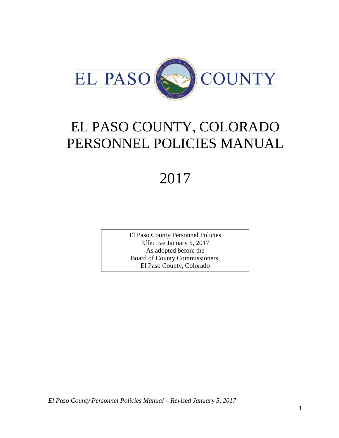

# EL PASO COUNTY, COLORADO PERSONNEL POLICIES MANUAL

# 2017

El Paso County Personnel Policies Effective January 5, 2017 As adopted before the Board of County Commissioners, El Paso County, Colorado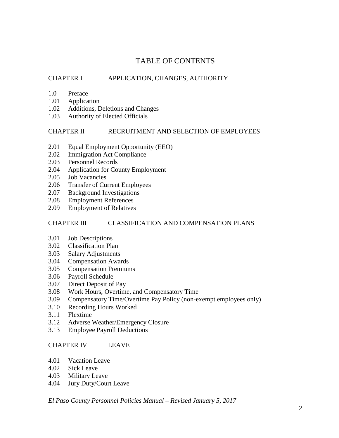# TABLE OF CONTENTS

# CHAPTER I APPLICATION, CHANGES, AUTHORITY

- 1.0 Preface
- 1.01 Application
- 1.02 Additions, Deletions and Changes
- 1.03 Authority of Elected Officials

#### CHAPTER II RECRUITMENT AND SELECTION OF EMPLOYEES

- 2.01 Equal Employment Opportunity (EEO)
- 2.02 Immigration Act Compliance
- 2.03 Personnel Records
- 2.04 Application for County Employment
- 2.05 Job Vacancies
- 2.06 Transfer of Current Employees
- 2.07 Background Investigations
- 2.08 Employment References
- 2.09 Employment of Relatives

## CHAPTER III CLASSIFICATION AND COMPENSATION PLANS

- 3.01 Job Descriptions
- 3.02 Classification Plan
- 3.03 Salary Adjustments
- 3.04 Compensation Awards
- 3.05 Compensation Premiums
- 3.06 Payroll Schedule
- 3.07 Direct Deposit of Pay
- 3.08 Work Hours, Overtime, and Compensatory Time
- 3.09 Compensatory Time/Overtime Pay Policy (non-exempt employees only)
- 3.10 Recording Hours Worked
- 3.11 Flextime
- 3.12 Adverse Weather/Emergency Closure
- 3.13 Employee Payroll Deductions

## CHAPTER IV LEAVE

- 4.01 Vacation Leave
- 4.02 Sick Leave
- 4.03 Military Leave
- 4.04 Jury Duty/Court Leave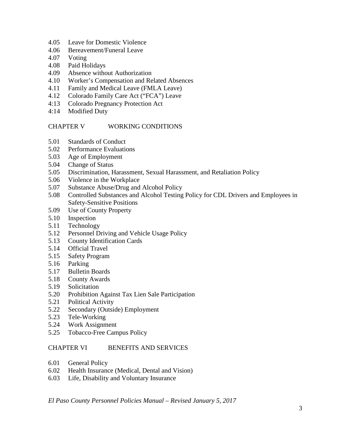- 4.05 Leave for Domestic Violence
- 4.06 Bereavement/Funeral Leave
- 4.07 Voting
- 4.08 Paid Holidays
- 4.09 Absence without Authorization
- 4.10 Worker's Compensation and Related Absences
- 4.11 Family and Medical Leave (FMLA Leave)
- 4.12 Colorado Family Care Act ("FCA") Leave
- 4:13 Colorado Pregnancy Protection Act
- 4:14 Modified Duty

#### CHAPTER V WORKING CONDITIONS

- 5.01 Standards of Conduct
- 5.02 Performance Evaluations
- 5.03 Age of Employment
- 5.04 Change of Status
- 5.05 Discrimination, Harassment, Sexual Harassment, and Retaliation Policy
- 5.06 Violence in the Workplace
- 5.07 Substance Abuse/Drug and Alcohol Policy
- 5.08 Controlled Substances and Alcohol Testing Policy for CDL Drivers and Employees in Safety-Sensitive Positions
- 5.09 Use of County Property
- 5.10 Inspection
- 5.11 Technology
- 5.12 Personnel Driving and Vehicle Usage Policy
- 5.13 County Identification Cards
- 5.14 Official Travel
- 5.15 Safety Program
- 5.16 Parking
- 5.17 Bulletin Boards
- 5.18 County Awards
- 5.19 Solicitation
- 5.20 Prohibition Against Tax Lien Sale Participation
- 5.21 Political Activity
- 5.22 Secondary (Outside) Employment
- 5.23 Tele-Working
- 5.24 Work Assignment
- 5.25 Tobacco-Free Campus Policy

## CHAPTER VI BENEFITS AND SERVICES

- 6.01 General Policy
- 6.02 Health Insurance (Medical, Dental and Vision)
- 6.03 Life, Disability and Voluntary Insurance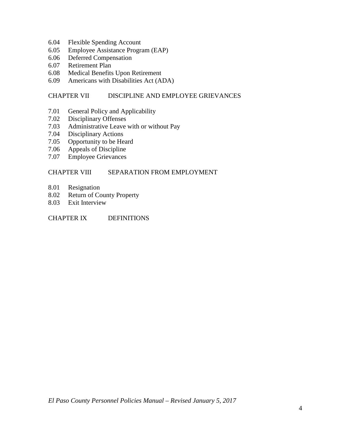- 6.04 Flexible Spending Account
- 6.05 Employee Assistance Program (EAP)
- 6.06 Deferred Compensation
- 6.07 Retirement Plan
- 6.08 Medical Benefits Upon Retirement
- 6.09 Americans with Disabilities Act (ADA)

#### CHAPTER VII DISCIPLINE AND EMPLOYEE GRIEVANCES

- 7.01 General Policy and Applicability
- 7.02 Disciplinary Offenses<br>7.03 Administrative Leave
- Administrative Leave with or without Pay
- 7.04 Disciplinary Actions
- 7.05 Opportunity to be Heard
- 7.06 Appeals of Discipline
- 7.07 Employee Grievances

#### CHAPTER VIII SEPARATION FROM EMPLOYMENT

- 8.01 Resignation
- 8.02 Return of County Property
- 8.03 Exit Interview

CHAPTER IX DEFINITIONS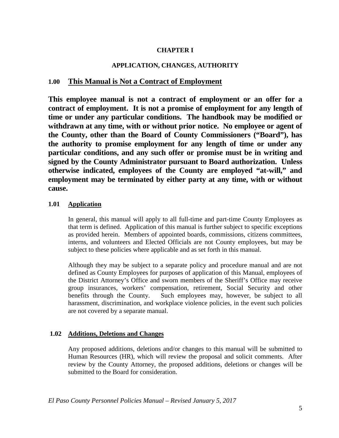# **CHAPTER I**

# **APPLICATION, CHANGES, AUTHORITY**

# **1.00 This Manual is Not a Contract of Employment**

**This employee manual is not a contract of employment or an offer for a contract of employment. It is not a promise of employment for any length of time or under any particular conditions. The handbook may be modified or withdrawn at any time, with or without prior notice. No employee or agent of the County, other than the Board of County Commissioners ("Board"), has the authority to promise employment for any length of time or under any particular conditions, and any such offer or promise must be in writing and signed by the County Administrator pursuant to Board authorization. Unless otherwise indicated, employees of the County are employed "at-will," and employment may be terminated by either party at any time, with or without cause.**

#### **1.01 Application**

In general, this manual will apply to all full-time and part-time County Employees as that term is defined. Application of this manual is further subject to specific exceptions as provided herein. Members of appointed boards, commissions, citizens committees, interns, and volunteers and Elected Officials are not County employees, but may be subject to these policies where applicable and as set forth in this manual.

Although they may be subject to a separate policy and procedure manual and are not defined as County Employees for purposes of application of this Manual, employees of the District Attorney's Office and sworn members of the Sheriff's Office may receive group insurances, workers' compensation, retirement, Social Security and other benefits through the County. Such employees may, however, be subject to all harassment, discrimination, and workplace violence policies, in the event such policies are not covered by a separate manual.

#### **1.02 Additions, Deletions and Changes**

Any proposed additions, deletions and/or changes to this manual will be submitted to Human Resources (HR), which will review the proposal and solicit comments. After review by the County Attorney, the proposed additions, deletions or changes will be submitted to the Board for consideration.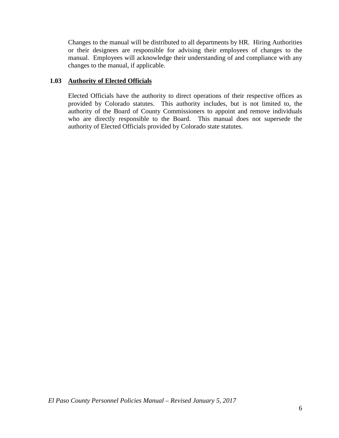Changes to the manual will be distributed to all departments by HR. Hiring Authorities or their designees are responsible for advising their employees of changes to the manual. Employees will acknowledge their understanding of and compliance with any changes to the manual, if applicable.

#### **1.03 Authority of Elected Officials**

Elected Officials have the authority to direct operations of their respective offices as provided by Colorado statutes. This authority includes, but is not limited to, the authority of the Board of County Commissioners to appoint and remove individuals who are directly responsible to the Board. This manual does not supersede the authority of Elected Officials provided by Colorado state statutes.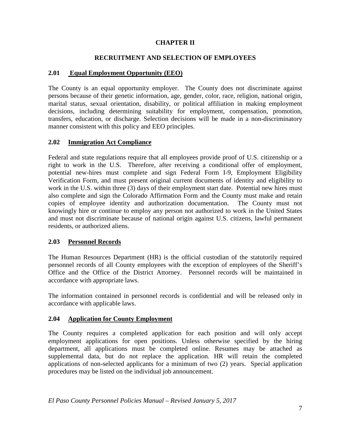# **CHAPTER II**

## **RECRUITMENT AND SELECTION OF EMPLOYEES**

#### **2.01 Equal Employment Opportunity (EEO)**

The County is an equal opportunity employer. The County does not discriminate against persons because of their genetic information, age, gender, color, race, religion, national origin, marital status, sexual orientation, disability, or political affiliation in making employment decisions, including determining suitability for employment, compensation, promotion, transfers, education, or discharge. Selection decisions will be made in a non-discriminatory manner consistent with this policy and EEO principles.

#### **2.02 Immigration Act Compliance**

Federal and state regulations require that all employees provide proof of U.S. citizenship or a right to work in the U.S. Therefore, after receiving a conditional offer of employment, potential new-hires must complete and sign Federal Form I-9, Employment Eligibility Verification Form, and must present original current documents of identity and eligibility to work in the U.S. within three (3) days of their employment start date. Potential new hires must also complete and sign the Colorado Affirmation Form and the County must make and retain copies of employee identity and authorization documentation. The County must not knowingly hire or continue to employ any person not authorized to work in the United States and must not discriminate because of national origin against U.S. citizens, lawful permanent residents, or authorized aliens.

#### **2.03 Personnel Records**

The Human Resources Department (HR) is the official custodian of the statutorily required personnel records of all County employees with the exception of employees of the Sheriff's Office and the Office of the District Attorney. Personnel records will be maintained in accordance with appropriate laws.

The information contained in personnel records is confidential and will be released only in accordance with applicable laws.

#### **2.04 Application for County Employment**

The County requires a completed application for each position and will only accept employment applications for open positions. Unless otherwise specified by the hiring department, all applications must be completed online. Resumes may be attached as supplemental data, but do not replace the application. HR will retain the completed applications of non-selected applicants for a minimum of two (2) years. Special application procedures may be listed on the individual job announcement.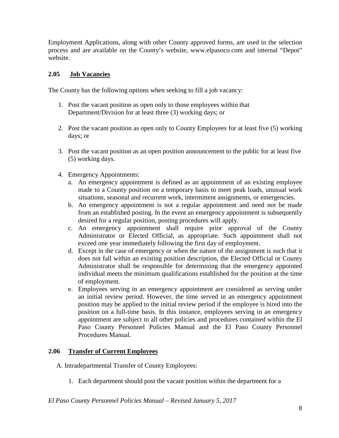Employment Applications, along with other County approved forms, are used in the selection process and are available on the County's website, www.elpasoco.com and internal "Depot" website.

## **2.05 Job Vacancies**

The County has the following options when seeking to fill a job vacancy:

- 1. Post the vacant position as open only to those employees within that Department/Division for at least three (3) working days; or
- 2. Post the vacant position as open only to County Employees for at least five (5) working days; or
- 3. Post the vacant position as an open position announcement to the public for at least five (5) working days.
- 4. Emergency Appointments:
	- a. An emergency appointment is defined as an appointment of an existing employee made to a County position on a temporary basis to meet peak loads, unusual work situations, seasonal and recurrent work, intermittent assignments, or emergencies.
	- b. An emergency appointment is not a regular appointment and need not be made from an established posting. In the event an emergency appointment is subsequently desired for a regular position, posting procedures will apply.
	- c. An emergency appointment shall require prior approval of the County Administrator or Elected Official, as appropriate. Such appointment shall not exceed one year immediately following the first day of employment.
	- d. Except in the case of emergency or when the nature of the assignment is such that it does not fall within an existing position description, the Elected Official or County Administrator shall be responsible for determining that the emergency appointed individual meets the minimum qualifications established for the position at the time of employment.
	- e. Employees serving in an emergency appointment are considered as serving under an initial review period. However, the time served in an emergency appointment position may be applied to the initial review period if the employee is hired into the position on a full-time basis. In this instance, employees serving in an emergency appointment are subject to all other policies and procedures contained within the El Paso County Personnel Policies Manual and the El Paso County Personnel Procedures Manual.

#### **2.06 Transfer of Current Employees**

- A. Intradepartmental Transfer of County Employees:
	- 1. Each department should post the vacant position within the department for a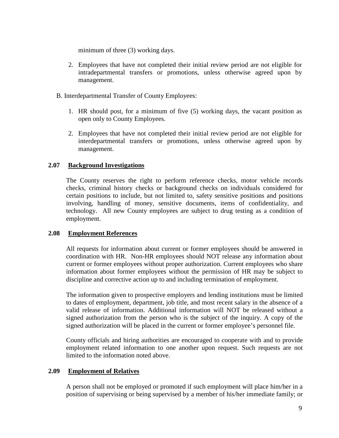minimum of three (3) working days.

- 2. Employees that have not completed their initial review period are not eligible for intradepartmental transfers or promotions, unless otherwise agreed upon by management.
- B. Interdepartmental Transfer of County Employees:
	- 1. HR should post, for a minimum of five (5) working days, the vacant position as open only to County Employees.
	- 2. Employees that have not completed their initial review period are not eligible for interdepartmental transfers or promotions, unless otherwise agreed upon by management.

#### **2.07 Background Investigations**

The County reserves the right to perform reference checks, motor vehicle records checks, criminal history checks or background checks on individuals considered for certain positions to include, but not limited to, safety sensitive positions and positions involving, handling of money, sensitive documents, items of confidentiality, and technology. All new County employees are subject to drug testing as a condition of employment.

#### **2.08 Employment References**

All requests for information about current or former employees should be answered in coordination with HR. Non-HR employees should NOT release any information about current or former employees without proper authorization. Current employees who share information about former employees without the permission of HR may be subject to discipline and corrective action up to and including termination of employment.

The information given to prospective employers and lending institutions must be limited to dates of employment, department, job title, and most recent salary in the absence of a valid release of information. Additional information will NOT be released without a signed authorization from the person who is the subject of the inquiry. A copy of the signed authorization will be placed in the current or former employee's personnel file.

County officials and hiring authorities are encouraged to cooperate with and to provide employment related information to one another upon request. Such requests are not limited to the information noted above.

#### **2.09 Employment of Relatives**

A person shall not be employed or promoted if such employment will place him/her in a position of supervising or being supervised by a member of his/her immediate family; or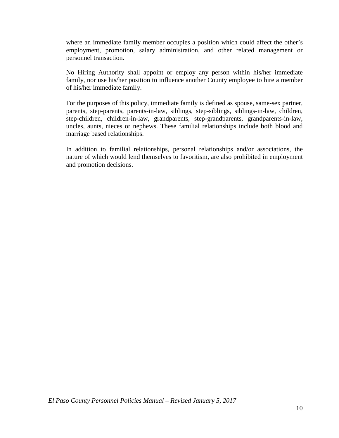where an immediate family member occupies a position which could affect the other's employment, promotion, salary administration, and other related management or personnel transaction.

No Hiring Authority shall appoint or employ any person within his/her immediate family, nor use his/her position to influence another County employee to hire a member of his/her immediate family.

For the purposes of this policy, immediate family is defined as spouse, same-sex partner, parents, step-parents, parents-in-law, siblings, step-siblings, siblings-in-law, children, step-children, children-in-law, grandparents, step-grandparents, grandparents-in-law, uncles, aunts, nieces or nephews. These familial relationships include both blood and marriage based relationships.

In addition to familial relationships, personal relationships and/or associations, the nature of which would lend themselves to favoritism, are also prohibited in employment and promotion decisions.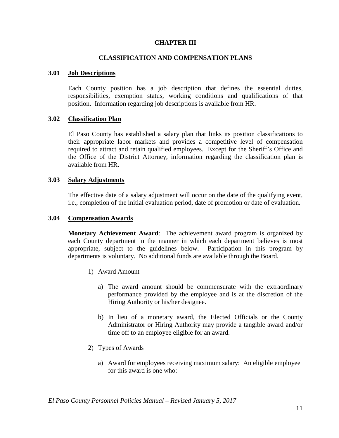#### **CHAPTER III**

#### **CLASSIFICATION AND COMPENSATION PLANS**

#### **3.01 Job Descriptions**

Each County position has a job description that defines the essential duties, responsibilities, exemption status, working conditions and qualifications of that position. Information regarding job descriptions is available from HR.

#### **3.02 Classification Plan**

El Paso County has established a salary plan that links its position classifications to their appropriate labor markets and provides a competitive level of compensation required to attract and retain qualified employees. Except for the Sheriff's Office and the Office of the District Attorney, information regarding the classification plan is available from HR.

#### **3.03 Salary Adjustments**

The effective date of a salary adjustment will occur on the date of the qualifying event, i.e., completion of the initial evaluation period, date of promotion or date of evaluation.

#### **3.04 Compensation Awards**

**Monetary Achievement Award**: The achievement award program is organized by each County department in the manner in which each department believes is most appropriate, subject to the guidelines below. Participation in this program by departments is voluntary. No additional funds are available through the Board.

- 1) Award Amount
	- a) The award amount should be commensurate with the extraordinary performance provided by the employee and is at the discretion of the Hiring Authority or his/her designee.
	- b) In lieu of a monetary award, the Elected Officials or the County Administrator or Hiring Authority may provide a tangible award and/or time off to an employee eligible for an award.
- 2) Types of Awards
	- a) Award for employees receiving maximum salary: An eligible employee for this award is one who: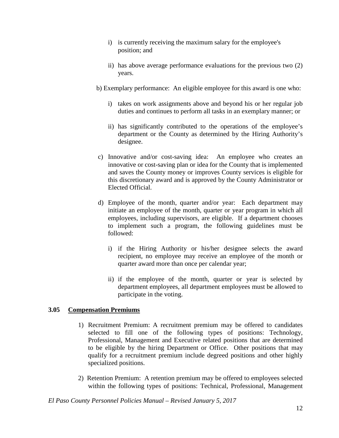- i) is currently receiving the maximum salary for the employee's position; and
- ii) has above average performance evaluations for the previous two (2) years.
- b) Exemplary performance: An eligible employee for this award is one who:
	- i) takes on work assignments above and beyond his or her regular job duties and continues to perform all tasks in an exemplary manner; or
	- ii) has significantly contributed to the operations of the employee's department or the County as determined by the Hiring Authority's designee.
- c) Innovative and/or cost-saving idea: An employee who creates an innovative or cost-saving plan or idea for the County that is implemented and saves the County money or improves County services is eligible for this discretionary award and is approved by the County Administrator or Elected Official.
- d) Employee of the month, quarter and/or year: Each department may initiate an employee of the month, quarter or year program in which all employees, including supervisors, are eligible. If a department chooses to implement such a program, the following guidelines must be followed:
	- i) if the Hiring Authority or his/her designee selects the award recipient, no employee may receive an employee of the month or quarter award more than once per calendar year;
	- ii) if the employee of the month, quarter or year is selected by department employees, all department employees must be allowed to participate in the voting.

## **3.05 Compensation Premiums**

- 1) Recruitment Premium: A recruitment premium may be offered to candidates selected to fill one of the following types of positions: Technology, Professional, Management and Executive related positions that are determined to be eligible by the hiring Department or Office. Other positions that may qualify for a recruitment premium include degreed positions and other highly specialized positions.
- 2) Retention Premium: A retention premium may be offered to employees selected within the following types of positions: Technical, Professional, Management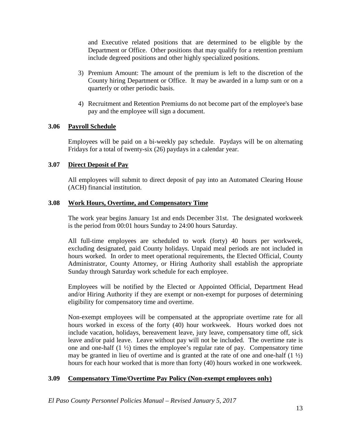and Executive related positions that are determined to be eligible by the Department or Office. Other positions that may qualify for a retention premium include degreed positions and other highly specialized positions.

- 3) Premium Amount: The amount of the premium is left to the discretion of the County hiring Department or Office. It may be awarded in a lump sum or on a quarterly or other periodic basis.
- 4) Recruitment and Retention Premiums do not become part of the employee's base pay and the employee will sign a document.

## **3.06 Payroll Schedule**

Employees will be paid on a bi-weekly pay schedule. Paydays will be on alternating Fridays for a total of twenty-six (26) paydays in a calendar year.

#### **3.07 Direct Deposit of Pay**

All employees will submit to direct deposit of pay into an Automated Clearing House (ACH) financial institution.

#### **3.08 Work Hours, Overtime, and Compensatory Time**

The work year begins January 1st and ends December 31st. The designated workweek is the period from 00:01 hours Sunday to 24:00 hours Saturday.

All full-time employees are scheduled to work (forty) 40 hours per workweek, excluding designated, paid County holidays. Unpaid meal periods are not included in hours worked. In order to meet operational requirements, the Elected Official, County Administrator, County Attorney, or Hiring Authority shall establish the appropriate Sunday through Saturday work schedule for each employee.

Employees will be notified by the Elected or Appointed Official, Department Head and/or Hiring Authority if they are exempt or non-exempt for purposes of determining eligibility for compensatory time and overtime.

Non-exempt employees will be compensated at the appropriate overtime rate for all hours worked in excess of the forty (40) hour workweek. Hours worked does not include vacation, holidays, bereavement leave, jury leave, compensatory time off, sick leave and/or paid leave. Leave without pay will not be included. The overtime rate is one and one-half (1 ½) times the employee's regular rate of pay. Compensatory time may be granted in lieu of overtime and is granted at the rate of one and one-half  $(1 \frac{1}{2})$ hours for each hour worked that is more than forty (40) hours worked in one workweek.

## **3.09 Compensatory Time/Overtime Pay Policy (Non-exempt employees only)**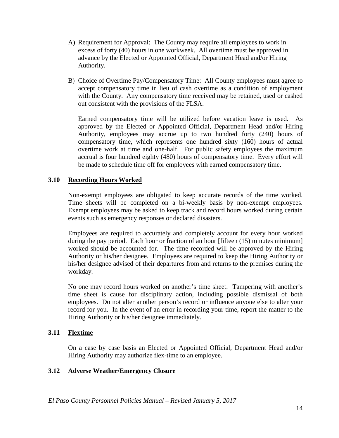- A) Requirement for Approval: The County may require all employees to work in excess of forty (40) hours in one workweek. All overtime must be approved in advance by the Elected or Appointed Official, Department Head and/or Hiring Authority.
- B) Choice of Overtime Pay/Compensatory Time: All County employees must agree to accept compensatory time in lieu of cash overtime as a condition of employment with the County. Any compensatory time received may be retained, used or cashed out consistent with the provisions of the FLSA.

Earned compensatory time will be utilized before vacation leave is used. As approved by the Elected or Appointed Official, Department Head and/or Hiring Authority, employees may accrue up to two hundred forty (240) hours of compensatory time, which represents one hundred sixty (160) hours of actual overtime work at time and one-half. For public safety employees the maximum accrual is four hundred eighty (480) hours of compensatory time. Every effort will be made to schedule time off for employees with earned compensatory time.

## **3.10 Recording Hours Worked**

Non-exempt employees are obligated to keep accurate records of the time worked. Time sheets will be completed on a bi-weekly basis by non-exempt employees. Exempt employees may be asked to keep track and record hours worked during certain events such as emergency responses or declared disasters.

Employees are required to accurately and completely account for every hour worked during the pay period. Each hour or fraction of an hour [fifteen (15) minutes minimum] worked should be accounted for. The time recorded will be approved by the Hiring Authority or his/her designee. Employees are required to keep the Hiring Authority or his/her designee advised of their departures from and returns to the premises during the workday.

No one may record hours worked on another's time sheet. Tampering with another's time sheet is cause for disciplinary action, including possible dismissal of both employees. Do not alter another person's record or influence anyone else to alter your record for you. In the event of an error in recording your time, report the matter to the Hiring Authority or his/her designee immediately.

#### **3.11 Flextime**

On a case by case basis an Elected or Appointed Official, Department Head and/or Hiring Authority may authorize flex-time to an employee.

## **3.12 Adverse Weather/Emergency Closure**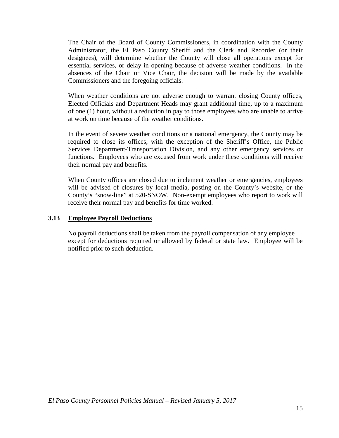The Chair of the Board of County Commissioners, in coordination with the County Administrator, the El Paso County Sheriff and the Clerk and Recorder (or their designees), will determine whether the County will close all operations except for essential services, or delay in opening because of adverse weather conditions. In the absences of the Chair or Vice Chair, the decision will be made by the available Commissioners and the foregoing officials.

When weather conditions are not adverse enough to warrant closing County offices, Elected Officials and Department Heads may grant additional time, up to a maximum of one (1) hour, without a reduction in pay to those employees who are unable to arrive at work on time because of the weather conditions.

In the event of severe weather conditions or a national emergency, the County may be required to close its offices, with the exception of the Sheriff's Office, the Public Services Department-Transportation Division, and any other emergency services or functions. Employees who are excused from work under these conditions will receive their normal pay and benefits.

When County offices are closed due to inclement weather or emergencies, employees will be advised of closures by local media, posting on the County's website, or the County's "snow-line" at 520-SNOW. Non-exempt employees who report to work will receive their normal pay and benefits for time worked.

#### **3.13 Employee Payroll Deductions**

No payroll deductions shall be taken from the payroll compensation of any employee except for deductions required or allowed by federal or state law. Employee will be notified prior to such deduction.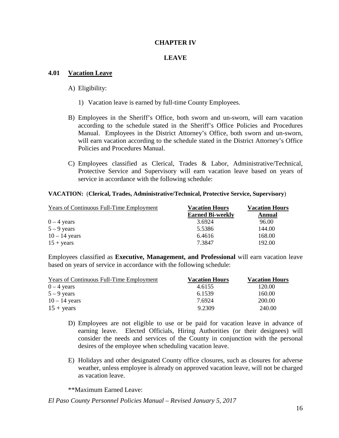#### **CHAPTER IV**

#### **LEAVE**

#### **4.01 Vacation Leave**

#### A) Eligibility:

- 1) Vacation leave is earned by full-time County Employees.
- B) Employees in the Sheriff's Office, both sworn and un-sworn, will earn vacation according to the schedule stated in the Sheriff's Office Policies and Procedures Manual. Employees in the District Attorney's Office, both sworn and un-sworn, will earn vacation according to the schedule stated in the District Attorney's Office Policies and Procedures Manual.
- C) Employees classified as Clerical, Trades & Labor, Administrative/Technical, Protective Service and Supervisory will earn vacation leave based on years of service in accordance with the following schedule:

#### **VACATION:** (**Clerical, Trades, Administrative/Technical, Protective Service, Supervisory**)

| <b>Years of Continuous Full-Time Employment</b> | <b>Vacation Hours</b>   | <b>Vacation Hours</b> |  |
|-------------------------------------------------|-------------------------|-----------------------|--|
|                                                 | <b>Earned Bi-weekly</b> | <b>Annual</b>         |  |
| $0 - 4$ years                                   | 3.6924                  | 96.00                 |  |
| $5 - 9$ years                                   | 5.5386                  | 144.00                |  |
| $10 - 14$ years                                 | 6.4616                  | 168.00                |  |
| $15 + \text{years}$                             | 7.3847                  | 192.00                |  |

Employees classified as **Executive, Management, and Professional** will earn vacation leave based on years of service in accordance with the following schedule:

| <b>Years of Continuous Full-Time Employment</b> | <b>Vacation Hours</b> | <b>Vacation Hours</b> |
|-------------------------------------------------|-----------------------|-----------------------|
| $0 - 4$ years                                   | 4.6155                | 120.00                |
| $5 - 9$ years                                   | 6.1539                | 160.00                |
| $10 - 14$ years                                 | 7.6924                | 200.00                |
| $15 + \text{years}$                             | 9.2309                | 240.00                |

- D) Employees are not eligible to use or be paid for vacation leave in advance of earning leave. Elected Officials, Hiring Authorities (or their designees) will consider the needs and services of the County in conjunction with the personal desires of the employee when scheduling vacation leave.
- E) Holidays and other designated County office closures, such as closures for adverse weather, unless employee is already on approved vacation leave, will not be charged as vacation leave.

\*\*Maximum Earned Leave: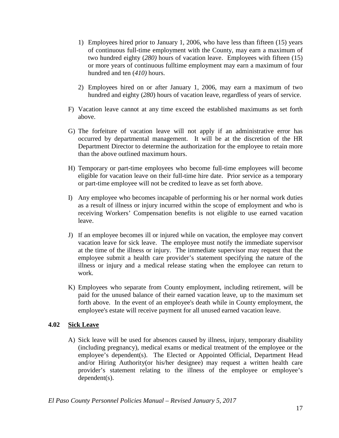- 1) Employees hired prior to January 1, 2006, who have less than fifteen (15) years of continuous full-time employment with the County, may earn a maximum of two hundred eighty (*280)* hours of vacation leave. Employees with fifteen (15) or more years of continuous fulltime employment may earn a maximum of four hundred and ten (*410)* hours.
- 2) Employees hired on or after January 1, 2006, may earn a maximum of two hundred and eighty (*280*) hours of vacation leave, regardless of years of service.
- F) Vacation leave cannot at any time exceed the established maximums as set forth above.
- G) The forfeiture of vacation leave will not apply if an administrative error has occurred by departmental management. It will be at the discretion of the HR Department Director to determine the authorization for the employee to retain more than the above outlined maximum hours.
- H) Temporary or part-time employees who become full-time employees will become eligible for vacation leave on their full-time hire date. Prior service as a temporary or part-time employee will not be credited to leave as set forth above.
- I) Any employee who becomes incapable of performing his or her normal work duties as a result of illness or injury incurred within the scope of employment and who is receiving Workers' Compensation benefits is not eligible to use earned vacation leave.
- J) If an employee becomes ill or injured while on vacation, the employee may convert vacation leave for sick leave. The employee must notify the immediate supervisor at the time of the illness or injury. The immediate supervisor may request that the employee submit a health care provider's statement specifying the nature of the illness or injury and a medical release stating when the employee can return to work.
- K) Employees who separate from County employment, including retirement, will be paid for the unused balance of their earned vacation leave, up to the maximum set forth above. In the event of an employee's death while in County employment, the employee's estate will receive payment for all unused earned vacation leave.

#### **4.02 Sick Leave**

A) Sick leave will be used for absences caused by illness, injury, temporary disability (including pregnancy), medical exams or medical treatment of the employee or the employee's dependent(s). The Elected or Appointed Official, Department Head and/or Hiring Authority(or his/her designee) may request a written health care provider's statement relating to the illness of the employee or employee's dependent(s).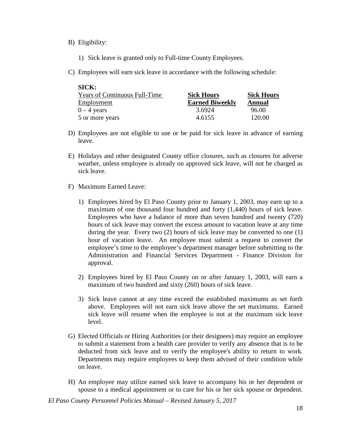#### B) Eligibility:

- 1) Sick leave is granted only to Full-time County Employees.
- C) Employees will earn sick leave in accordance with the following schedule:

| SICK:                                |                        |                   |
|--------------------------------------|------------------------|-------------------|
| <b>Years of Continuous Full-Time</b> | <b>Sick Hours</b>      | <b>Sick Hours</b> |
| Employment                           | <b>Earned Biweekly</b> | Annual            |
| $0 - 4$ years                        | 3.6924                 | 96.00             |
| 5 or more years                      | 4.6155                 | 120.00            |

- D) Employees are not eligible to use or be paid for sick leave in advance of earning leave.
- E) Holidays and other designated County office closures, such as closures for adverse weather, unless employee is already on approved sick leave, will not be charged as sick leave.
- F) Maximum Earned Leave:
	- 1) Employees hired by El Paso County prior to January 1, 2003, may earn up to a maximum of one thousand four hundred and forty (1,440) hours of sick leave. Employees who have a balance of more than seven hundred and twenty (720) hours of sick leave may convert the excess amount to vacation leave at any time during the year. Every two (2) hours of sick leave may be converted to one (1) hour of vacation leave. An employee must submit a request to convert the employee's time to the employee's department manager before submitting to the Administration and Financial Services Department - Finance Division for approval.
	- 2) Employees hired by El Paso County on or after January 1, 2003, will earn a maximum of two hundred and sixty (260) hours of sick leave.
	- 3) Sick leave cannot at any time exceed the established maximums as set forth above. Employees will not earn sick leave above the set maximums. Earned sick leave will resume when the employee is not at the maximum sick leave level.
- G) Elected Officials or Hiring Authorities (or their designees) may require an employee to submit a statement from a health care provider to verify any absence that is to be deducted from sick leave and to verify the employee's ability to return to work. Departments may require employees to keep them advised of their condition while on leave.
- H) An employee may utilize earned sick leave to accompany his or her dependent or spouse to a medical appointment or to care for his or her sick spouse or dependent.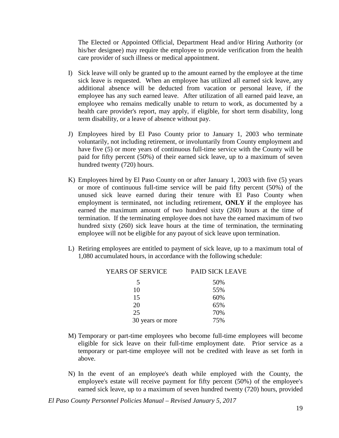The Elected or Appointed Official, Department Head and/or Hiring Authority (or his/her designee) may require the employee to provide verification from the health care provider of such illness or medical appointment.

- I) Sick leave will only be granted up to the amount earned by the employee at the time sick leave is requested. When an employee has utilized all earned sick leave, any additional absence will be deducted from vacation or personal leave, if the employee has any such earned leave. After utilization of all earned paid leave, an employee who remains medically unable to return to work, as documented by a health care provider's report, may apply, if eligible, for short term disability, long term disability, or a leave of absence without pay.
- J) Employees hired by El Paso County prior to January 1, 2003 who terminate voluntarily, not including retirement, or involuntarily from County employment and have five (5) or more years of continuous full-time service with the County will be paid for fifty percent (50%) of their earned sick leave, up to a maximum of seven hundred twenty (720) hours.
- K) Employees hired by El Paso County on or after January 1, 2003 with five (5) years or more of continuous full-time service will be paid fifty percent (50%) of the unused sick leave earned during their tenure with El Paso County when employment is terminated, not including retirement, **ONLY i**f the employee has earned the maximum amount of two hundred sixty (260) hours at the time of termination. If the terminating employee does not have the earned maximum of two hundred sixty (260) sick leave hours at the time of termination, the terminating employee will not be eligible for any payout of sick leave upon termination.
- L) Retiring employees are entitled to payment of sick leave, up to a maximum total of 1,080 accumulated hours, in accordance with the following schedule:

| <b>YEARS OF SERVICE</b> | <b>PAID SICK LEAVE</b> |
|-------------------------|------------------------|
| 5                       | 50%                    |
| 10                      | 55%                    |
| 15                      | 60%                    |
| 20                      | 65%                    |
| 25                      | 70%                    |
| 30 years or more        | 75%                    |

- M) Temporary or part-time employees who become full-time employees will become eligible for sick leave on their full-time employment date. Prior service as a temporary or part-time employee will not be credited with leave as set forth in above.
- N) In the event of an employee's death while employed with the County, the employee's estate will receive payment for fifty percent (50%) of the employee's earned sick leave, up to a maximum of seven hundred twenty (720) hours, provided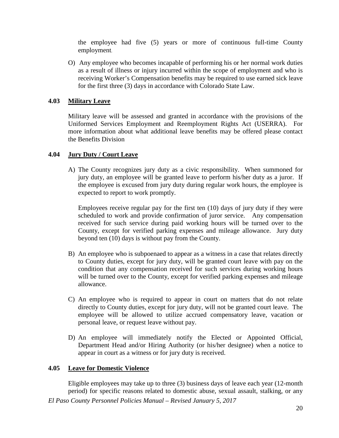the employee had five (5) years or more of continuous full-time County employment.

O) Any employee who becomes incapable of performing his or her normal work duties as a result of illness or injury incurred within the scope of employment and who is receiving Worker's Compensation benefits may be required to use earned sick leave for the first three (3) days in accordance with Colorado State Law.

#### **4.03 Military Leave**

Military leave will be assessed and granted in accordance with the provisions of the Uniformed Services Employment and Reemployment Rights Act (USERRA). For more information about what additional leave benefits may be offered please contact the Benefits Division

#### **4.04 Jury Duty / Court Leave**

A) The County recognizes jury duty as a civic responsibility. When summoned for jury duty, an employee will be granted leave to perform his/her duty as a juror. If the employee is excused from jury duty during regular work hours, the employee is expected to report to work promptly.

Employees receive regular pay for the first ten (10) days of jury duty if they were scheduled to work and provide confirmation of juror service. Any compensation received for such service during paid working hours will be turned over to the County, except for verified parking expenses and mileage allowance. Jury duty beyond ten (10) days is without pay from the County.

- B) An employee who is subpoenaed to appear as a witness in a case that relates directly to County duties, except for jury duty, will be granted court leave with pay on the condition that any compensation received for such services during working hours will be turned over to the County, except for verified parking expenses and mileage allowance.
- C) An employee who is required to appear in court on matters that do not relate directly to County duties, except for jury duty, will not be granted court leave. The employee will be allowed to utilize accrued compensatory leave, vacation or personal leave, or request leave without pay.
- D) An employee will immediately notify the Elected or Appointed Official, Department Head and/or Hiring Authority (or his/her designee) when a notice to appear in court as a witness or for jury duty is received.

#### **4.05 Leave for Domestic Violence**

Eligible employees may take up to three (3) business days of leave each year (12-month period) for specific reasons related to domestic abuse, sexual assault, stalking, or any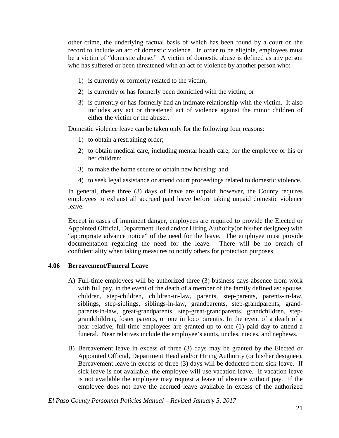other crime, the underlying factual basis of which has been found by a court on the record to include an act of domestic violence. In order to be eligible, employees must be a victim of "domestic abuse." A victim of domestic abuse is defined as any person who has suffered or been threatened with an act of violence by another person who:

- 1) is currently or formerly related to the victim;
- 2) is currently or has formerly been domiciled with the victim; or
- 3) is currently or has formerly had an intimate relationship with the victim. It also includes any act or threatened act of violence against the minor children of either the victim or the abuser.

Domestic violence leave can be taken only for the following four reasons:

- 1) to obtain a restraining order;
- 2) to obtain medical care, including mental health care, for the employee or his or her children;
- 3) to make the home secure or obtain new housing; and
- 4) to seek legal assistance or attend court proceedings related to domestic violence.

In general, these three (3) days of leave are unpaid; however, the County requires employees to exhaust all accrued paid leave before taking unpaid domestic violence leave.

Except in cases of imminent danger, employees are required to provide the Elected or Appointed Official, Department Head and/or Hiring Authority(or his/her designee) with "appropriate advance notice" of the need for the leave. The employee must provide documentation regarding the need for the leave. There will be no breach of confidentiality when taking measures to notify others for protection purposes.

## **4.06 Bereavement/Funeral Leave**

- A) Full-time employees will be authorized three (3) business days absence from work with full pay, in the event of the death of a member of the family defined as: spouse, children, step-children, children-in-law, parents, step-parents, parents-in-law, siblings, step-siblings, siblings-in-law, grandparents, step-grandparents, grandparents-in-law, great-grandparents, step-great-grandparents, grandchildren, stepgrandchildren, foster parents, or one in loco parentis. In the event of a death of a near relative, full-time employees are granted up to one (1) paid day to attend a funeral. Near relatives include the employee's aunts, uncles, nieces, and nephews.
- B) Bereavement leave in excess of three (3) days may be granted by the Elected or Appointed Official, Department Head and/or Hiring Authority (or his/her designee). Bereavement leave in excess of three (3) days will be deducted from sick leave. If sick leave is not available, the employee will use vacation leave. If vacation leave is not available the employee may request a leave of absence without pay. If the employee does not have the accrued leave available in excess of the authorized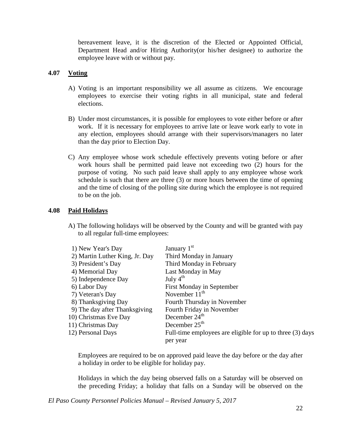bereavement leave, it is the discretion of the Elected or Appointed Official, Department Head and/or Hiring Authority(or his/her designee) to authorize the employee leave with or without pay.

#### **4.07 Voting**

- A) Voting is an important responsibility we all assume as citizens. We encourage employees to exercise their voting rights in all municipal, state and federal elections.
- B) Under most circumstances, it is possible for employees to vote either before or after work. If it is necessary for employees to arrive late or leave work early to vote in any election, employees should arrange with their supervisors/managers no later than the day prior to Election Day.
- C) Any employee whose work schedule effectively prevents voting before or after work hours shall be permitted paid leave not exceeding two (2) hours for the purpose of voting. No such paid leave shall apply to any employee whose work schedule is such that there are three (3) or more hours between the time of opening and the time of closing of the polling site during which the employee is not required to be on the job.

#### **4.08 Paid Holidays**

A) The following holidays will be observed by the County and will be granted with pay to all regular full-time employees:

| 1) New Year's Day              | January 1 <sup>st</sup>                                   |
|--------------------------------|-----------------------------------------------------------|
| 2) Martin Luther King, Jr. Day | Third Monday in January                                   |
| 3) President's Day             | Third Monday in February                                  |
| 4) Memorial Day                | Last Monday in May                                        |
| 5) Independence Day            | July $4^{th}$                                             |
| 6) Labor Day                   | First Monday in September                                 |
| 7) Veteran's Day               | November $11th$                                           |
| 8) Thanksgiving Day            | Fourth Thursday in November                               |
| 9) The day after Thanksgiving  | Fourth Friday in November                                 |
| 10) Christmas Eve Day          | December 24 <sup>th</sup>                                 |
| 11) Christmas Day              | December $25th$                                           |
| 12) Personal Days              | Full-time employees are eligible for up to three (3) days |
|                                | per year                                                  |

Employees are required to be on approved paid leave the day before or the day after a holiday in order to be eligible for holiday pay.

Holidays in which the day being observed falls on a Saturday will be observed on the preceding Friday; a holiday that falls on a Sunday will be observed on the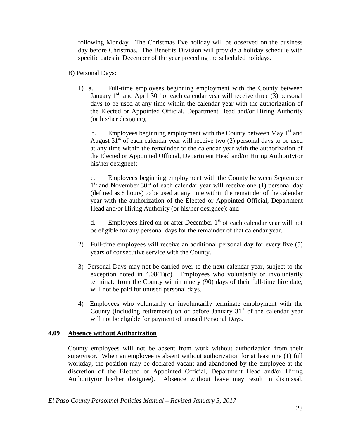following Monday. The Christmas Eve holiday will be observed on the business day before Christmas. The Benefits Division will provide a holiday schedule with specific dates in December of the year preceding the scheduled holidays.

#### B) Personal Days:

1) a. Full-time employees beginning employment with the County between January  $1<sup>st</sup>$  and April 30<sup>th</sup> of each calendar year will receive three (3) personal days to be used at any time within the calendar year with the authorization of the Elected or Appointed Official, Department Head and/or Hiring Authority (or his/her designee);

b. Employees beginning employment with the County between May  $1<sup>st</sup>$  and August  $31<sup>st</sup>$  of each calendar year will receive two (2) personal days to be used at any time within the remainder of the calendar year with the authorization of the Elected or Appointed Official, Department Head and/or Hiring Authority(or his/her designee);

c. Employees beginning employment with the County between September  $1<sup>st</sup>$  and November 30<sup>th</sup> of each calendar year will receive one (1) personal day (defined as 8 hours) to be used at any time within the remainder of the calendar year with the authorization of the Elected or Appointed Official, Department Head and/or Hiring Authority (or his/her designee); and

d. Employees hired on or after December  $1<sup>st</sup>$  of each calendar year will not be eligible for any personal days for the remainder of that calendar year.

- 2) Full-time employees will receive an additional personal day for every five (5) years of consecutive service with the County.
- 3) Personal Days may not be carried over to the next calendar year, subject to the exception noted in  $4.08(1)(c)$ . Employees who voluntarily or involuntarily terminate from the County within ninety (90) days of their full-time hire date, will not be paid for unused personal days.
- 4) Employees who voluntarily or involuntarily terminate employment with the County (including retirement) on or before January  $31<sup>st</sup>$  of the calendar year will not be eligible for payment of unused Personal Days.

#### **4.09 Absence without Authorization**

County employees will not be absent from work without authorization from their supervisor. When an employee is absent without authorization for at least one (1) full workday, the position may be declared vacant and abandoned by the employee at the discretion of the Elected or Appointed Official, Department Head and/or Hiring Authority(or his/her designee). Absence without leave may result in dismissal,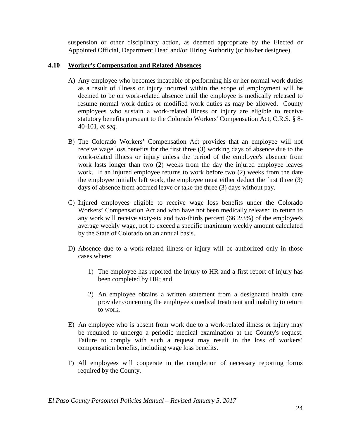suspension or other disciplinary action, as deemed appropriate by the Elected or Appointed Official, Department Head and/or Hiring Authority (or his/her designee).

# **4.10 Worker's Compensation and Related Absences**

- A) Any employee who becomes incapable of performing his or her normal work duties as a result of illness or injury incurred within the scope of employment will be deemed to be on work-related absence until the employee is medically released to resume normal work duties or modified work duties as may be allowed. County employees who sustain a work-related illness or injury are eligible to receive statutory benefits pursuant to the Colorado Workers' Compensation Act, C.R.S. § 8- 40-101, *et seq.*
- B) The Colorado Workers' Compensation Act provides that an employee will not receive wage loss benefits for the first three (3) working days of absence due to the work-related illness or injury unless the period of the employee's absence from work lasts longer than two (2) weeks from the day the injured employee leaves work. If an injured employee returns to work before two (2) weeks from the date the employee initially left work, the employee must either deduct the first three (3) days of absence from accrued leave or take the three (3) days without pay.
- C) Injured employees eligible to receive wage loss benefits under the Colorado Workers' Compensation Act and who have not been medically released to return to any work will receive sixty-six and two-thirds percent (66 2/3%) of the employee's average weekly wage, not to exceed a specific maximum weekly amount calculated by the State of Colorado on an annual basis.
- D) Absence due to a work-related illness or injury will be authorized only in those cases where:
	- 1) The employee has reported the injury to HR and a first report of injury has been completed by HR; and
	- 2) An employee obtains a written statement from a designated health care provider concerning the employee's medical treatment and inability to return to work.
- E) An employee who is absent from work due to a work-related illness or injury may be required to undergo a periodic medical examination at the County's request. Failure to comply with such a request may result in the loss of workers' compensation benefits, including wage loss benefits.
- F) All employees will cooperate in the completion of necessary reporting forms required by the County.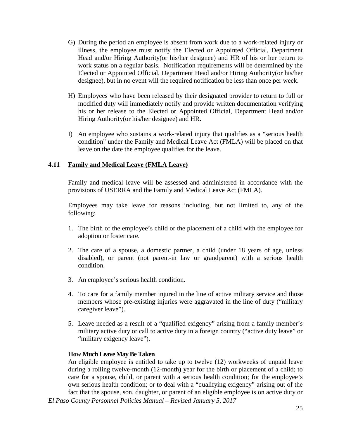- G) During the period an employee is absent from work due to a work-related injury or illness, the employee must notify the Elected or Appointed Official, Department Head and/or Hiring Authority(or his/her designee) and HR of his or her return to work status on a regular basis. Notification requirements will be determined by the Elected or Appointed Official, Department Head and/or Hiring Authority(or his/her designee), but in no event will the required notification be less than once per week.
- H) Employees who have been released by their designated provider to return to full or modified duty will immediately notify and provide written documentation verifying his or her release to the Elected or Appointed Official, Department Head and/or Hiring Authority(or his/her designee) and HR.
- I) An employee who sustains a work-related injury that qualifies as a "serious health condition" under the Family and Medical Leave Act (FMLA) will be placed on that leave on the date the employee qualifies for the leave.

#### **4.11 Family and Medical Leave (FMLA Leave)**

Family and medical leave will be assessed and administered in accordance with the provisions of USERRA and the Family and Medical Leave Act (FMLA).

Employees may take leave for reasons including, but not limited to, any of the following:

- 1. The birth of the employee's child or the placement of a child with the employee for adoption or foster care.
- 2. The care of a spouse, a domestic partner, a child (under 18 years of age, unless disabled), or parent (not parent-in law or grandparent) with a serious health condition.
- 3. An employee's serious health condition.
- 4. To care for a family member injured in the line of active military service and those members whose pre-existing injuries were aggravated in the line of duty ("military caregiver leave").
- 5. Leave needed as a result of a "qualified exigency" arising from a family member's military active duty or call to active duty in a foreign country ("active duty leave" or "military exigency leave".

#### **How Much Leave May Be Taken**

*El Paso County Personnel Policies Manual – Revised January 5, 2017* An eligible employee is entitled to take up to twelve (12) workweeks of unpaid leave during a rolling twelve-month (12-month) year for the birth or placement of a child; to care for a spouse, child, or parent with a serious health condition; for the employee's own serious health condition; or to deal with a "qualifying exigency" arising out of the fact that the spouse, son, daughter, or parent of an eligible employee is on active duty or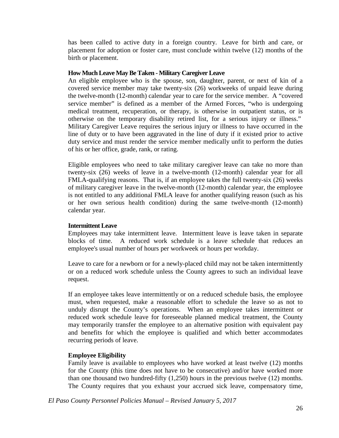has been called to active duty in a foreign country. Leave for birth and care, or placement for adoption or foster care, must conclude within twelve (12) months of the birth or placement.

#### **How Much Leave May Be Taken - Military Caregiver Leave**

An eligible employee who is the spouse, son, daughter, parent, or next of kin of a covered service member may take twenty-six (26) workweeks of unpaid leave during the twelve-month (12-month) calendar year to care for the service member. A "covered service member" is defined as a member of the Armed Forces, "who is undergoing medical treatment, recuperation, or therapy, is otherwise in outpatient status, or is otherwise on the temporary disability retired list, for a serious injury or illness." Military Caregiver Leave requires the serious injury or illness to have occurred in the line of duty or to have been aggravated in the line of duty if it existed prior to active duty service and must render the service member medically unfit to perform the duties of his or her office, grade, rank, or rating.

Eligible employees who need to take military caregiver leave can take no more than twenty-six (26) weeks of leave in a twelve-month (12-month) calendar year for all FMLA-qualifying reasons. That is, if an employee takes the full twenty-six (26) weeks of military caregiver leave in the twelve-month (12-month) calendar year, the employee is not entitled to any additional FMLA leave for another qualifying reason (such as his or her own serious health condition) during the same twelve-month (12-month) calendar year.

#### **Intermittent Leave**

Employees may take intermittent leave. Intermittent leave is leave taken in separate blocks of time. A reduced work schedule is a leave schedule that reduces an employee's usual number of hours per workweek or hours per workday.

Leave to care for a newborn or for a newly-placed child may not be taken intermittently or on a reduced work schedule unless the County agrees to such an individual leave request.

If an employee takes leave intermittently or on a reduced schedule basis, the employee must, when requested, make a reasonable effort to schedule the leave so as not to unduly disrupt the County's operations. When an employee takes intermittent or reduced work schedule leave for foreseeable planned medical treatment, the County may temporarily transfer the employee to an alternative position with equivalent pay and benefits for which the employee is qualified and which better accommodates recurring periods of leave.

## **Employee Eligibility**

Family leave is available to employees who have worked at least twelve (12) months for the County (this time does not have to be consecutive) and/or have worked more than one thousand two hundred-fifty (1,250) hours in the previous twelve (12) months. The County requires that you exhaust your accrued sick leave, compensatory time,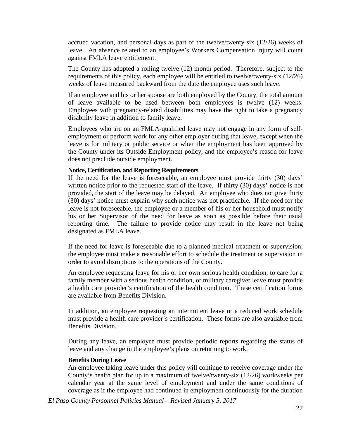accrued vacation, and personal days as part of the twelve/twenty-six (12/26) weeks of leave. An absence related to an employee's Workers Compensation injury will count against FMLA leave entitlement.

The County has adopted a rolling twelve (12) month period. Therefore, subject to the requirements of this policy, each employee will be entitled to twelve/twenty-six (12/26) weeks of leave measured backward from the date the employee uses such leave.

If an employee and his or her spouse are both employed by the County, the total amount of leave available to be used between both employees is twelve (12) weeks. Employees with pregnancy-related disabilities may have the right to take a pregnancy disability leave in addition to family leave.

Employees who are on an FMLA-qualified leave may not engage in any form of selfemployment or perform work for any other employer during that leave, except when the leave is for military or public service or when the employment has been approved by the County under its Outside Employment policy, and the employee's reason for leave does not preclude outside employment.

#### **Notice, Certification, and Reporting Requirements**

If the need for the leave is foreseeable, an employee must provide thirty (30) days' written notice prior to the requested start of the leave. If thirty (30) days' notice is not provided, the start of the leave may be delayed. An employee who does not give thirty (30) days' notice must explain why such notice was not practicable. If the need for the leave is not foreseeable, the employee or a member of his or her household must notify his or her Supervisor of the need for leave as soon as possible before their usual reporting time. The failure to provide notice may result in the leave not being designated as FMLA leave.

If the need for leave is foreseeable due to a planned medical treatment or supervision, the employee must make a reasonable effort to schedule the treatment or supervision in order to avoid disruptions to the operations of the County.

An employee requesting leave for his or her own serious health condition, to care for a family member with a serious health condition, or military caregiver leave must provide a health care provider's certification of the health condition. These certification forms are available from Benefits Division.

In addition, an employee requesting an intermittent leave or a reduced work schedule must provide a health care provider's certification. These forms are also available from Benefits Division.

During any leave, an employee must provide periodic reports regarding the status of leave and any change in the employee's plans on returning to work.

#### **Benefits During Leave**

An employee taking leave under this policy will continue to receive coverage under the County's health plan for up to a maximum of twelve/twenty-six (12/26) workweeks per calendar year at the same level of employment and under the same conditions of coverage as if the employee had continued in employment continuously for the duration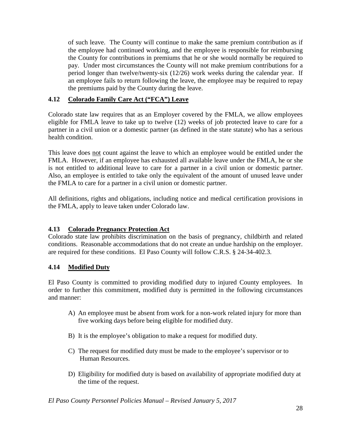of such leave. The County will continue to make the same premium contribution as if the employee had continued working, and the employee is responsible for reimbursing the County for contributions in premiums that he or she would normally be required to pay. Under most circumstances the County will not make premium contributions for a period longer than twelve/twenty-six (12/26) work weeks during the calendar year. If an employee fails to return following the leave, the employee may be required to repay the premiums paid by the County during the leave.

# **4.12 Colorado Family Care Act ("FCA") Leave**

Colorado state law requires that as an Employer covered by the FMLA, we allow employees eligible for FMLA leave to take up to twelve (12) weeks of job protected leave to care for a partner in a civil union or a domestic partner (as defined in the state statute) who has a serious health condition.

This leave does not count against the leave to which an employee would be entitled under the FMLA. However, if an employee has exhausted all available leave under the FMLA, he or she is not entitled to additional leave to care for a partner in a civil union or domestic partner. Also, an employee is entitled to take only the equivalent of the amount of unused leave under the FMLA to care for a partner in a civil union or domestic partner.

All definitions, rights and obligations, including notice and medical certification provisions in the FMLA, apply to leave taken under Colorado law.

#### **4.13 Colorado Pregnancy Protection Act**

Colorado state law prohibits discrimination on the basis of pregnancy, childbirth and related conditions. Reasonable accommodations that do not create an undue hardship on the employer. are required for these conditions. El Paso County will follow C.R.S. § 24-34-402.3.

# **4.14 Modified Duty**

El Paso County is committed to providing modified duty to injured County employees. In order to further this commitment, modified duty is permitted in the following circumstances and manner:

- A) An employee must be absent from work for a non-work related injury for more than five working days before being eligible for modified duty.
- B) It is the employee's obligation to make a request for modified duty.
- C) The request for modified duty must be made to the employee's supervisor or to Human Resources.
- D) Eligibility for modified duty is based on availability of appropriate modified duty at the time of the request.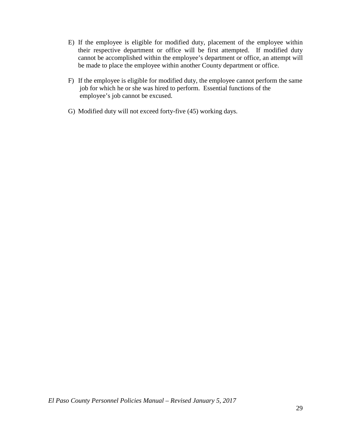- E) If the employee is eligible for modified duty, placement of the employee within their respective department or office will be first attempted. If modified duty cannot be accomplished within the employee's department or office, an attempt will be made to place the employee within another County department or office.
- F) If the employee is eligible for modified duty, the employee cannot perform the same job for which he or she was hired to perform. Essential functions of the employee's job cannot be excused.
- G) Modified duty will not exceed forty-five (45) working days.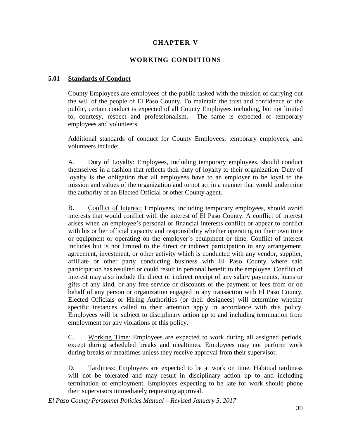# **CHAPTER V**

## **WORKING CONDITIONS**

#### **5.01 Standards of Conduct**

County Employees are employees of the public tasked with the mission of carrying out the will of the people of El Paso County. To maintain the trust and confidence of the public, certain conduct is expected of all County Employees including, but not limited to, courtesy, respect and professionalism. The same is expected of temporary employees and volunteers.

Additional standards of conduct for County Employees, temporary employees, and volunteers include:

A. Duty of Loyalty: Employees, including temporary employees, should conduct themselves in a fashion that reflects their duty of loyalty to their organization. Duty of loyalty is the obligation that all employees have to an employer to be loyal to the mission and values of the organization and to not act in a manner that would undermine the authority of an Elected Official or other County agent.

B. Conflict of Interest: Employees, including temporary employees, should avoid interests that would conflict with the interest of El Paso County. A conflict of interest arises when an employee's personal or financial interests conflict or appear to conflict with his or her official capacity and responsibility whether operating on their own time or equipment or operating on the employer's equipment or time. Conflict of interest includes but is not limited to the direct or indirect participation in any arrangement, agreement, investment, or other activity which is conducted with any vendor, supplier, affiliate or other party conducting business with El Paso County where said participation has resulted or could result in personal benefit to the employee. Conflict of interest may also include the direct or indirect receipt of any salary payments, loans or gifts of any kind, or any free service or discounts or the payment of fees from or on behalf of any person or organization engaged in any transaction with El Paso County. Elected Officials or Hiring Authorities (or their designees) will determine whether specific instances called to their attention apply in accordance with this policy. Employees will be subject to disciplinary action up to and including termination from employment for any violations of this policy.

C. Working Time: Employees are expected to work during all assigned periods, except during scheduled breaks and mealtimes. Employees may not perform work during breaks or mealtimes unless they receive approval from their supervisor.

D. Tardiness: Employees are expected to be at work on time. Habitual tardiness will not be tolerated and may result in disciplinary action up to and including termination of employment. Employees expecting to be late for work should phone their supervisors immediately requesting approval.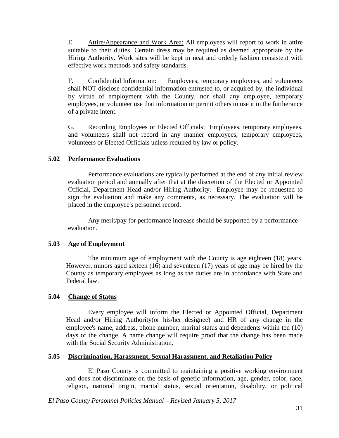E. Attire/Appearance and Work Area: All employees will report to work in attire suitable to their duties. Certain dress may be required as deemed appropriate by the Hiring Authority. Work sites will be kept in neat and orderly fashion consistent with effective work methods and safety standards.

F. Confidential Information: Employees, temporary employees, and volunteers shall NOT disclose confidential information entrusted to, or acquired by, the individual by virtue of employment with the County, nor shall any employee, temporary employees, or volunteer use that information or permit others to use it in the furtherance of a private intent.

G. Recording Employees or Elected Officials: Employees, temporary employees, and volunteers shall not record in any manner employees, temporary employees, volunteers or Elected Officials unless required by law or policy.

#### **5.02 Performance Evaluations**

Performance evaluations are typically performed at the end of any initial review evaluation period and annually after that at the discretion of the Elected or Appointed Official, Department Head and/or Hiring Authority. Employee may be requested to sign the evaluation and make any comments, as necessary. The evaluation will be placed in the employee's personnel record.

Any merit/pay for performance increase should be supported by a performance evaluation.

#### **5.03 Age of Employment**

The minimum age of employment with the County is age eighteen (18) years. However, minors aged sixteen (16) and seventeen (17) years of age may be hired by the County as temporary employees as long as the duties are in accordance with State and Federal law.

#### **5.04 Change of Status**

Every employee will inform the Elected or Appointed Official, Department Head and/or Hiring Authority(or his/her designee) and HR of any change in the employee's name, address, phone number, marital status and dependents within ten (10) days of the change. A name change will require proof that the change has been made with the Social Security Administration.

#### **5.05 Discrimination, Harassment, Sexual Harassment, and Retaliation Policy**

El Paso County is committed to maintaining a positive working environment and does not discriminate on the basis of genetic information, age, gender, color, race, religion, national origin, marital status, sexual orientation, disability, or political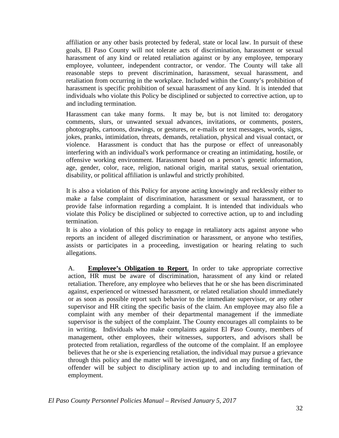affiliation or any other basis protected by federal, state or local law. In pursuit of these goals, El Paso County will not tolerate acts of discrimination, harassment or sexual harassment of any kind or related retaliation against or by any employee, temporary employee, volunteer, independent contractor, or vendor. The County will take all reasonable steps to prevent discrimination, harassment, sexual harassment, and retaliation from occurring in the workplace. Included within the County's prohibition of harassment is specific prohibition of sexual harassment of any kind. It is intended that individuals who violate this Policy be disciplined or subjected to corrective action, up to and including termination.

Harassment can take many forms. It may be, but is not limited to: derogatory comments, slurs, or unwanted sexual advances, invitations, or comments, posters, photographs, cartoons, drawings, or gestures, or e-mails or text messages, words, signs, jokes, pranks, intimidation, threats, demands, retaliation, physical and visual contact, or violence. Harassment is conduct that has the purpose or effect of unreasonably interfering with an individual's work performance or creating an intimidating, hostile, or offensive working environment. Harassment based on a person's genetic information, age, gender, color, race, religion, national origin, marital status, sexual orientation, disability, or political affiliation is unlawful and strictly prohibited.

It is also a violation of this Policy for anyone acting knowingly and recklessly either to make a false complaint of discrimination, harassment or sexual harassment, or to provide false information regarding a complaint. It is intended that individuals who violate this Policy be disciplined or subjected to corrective action, up to and including termination.

It is also a violation of this policy to engage in retaliatory acts against anyone who reports an incident of alleged discrimination or harassment, or anyone who testifies, assists or participates in a proceeding, investigation or hearing relating to such allegations.

A. **Employee's Obligation to Report**. In order to take appropriate corrective action, HR must be aware of discrimination, harassment of any kind or related retaliation. Therefore, any employee who believes that he or she has been discriminated against, experienced or witnessed harassment, or related retaliation should immediately or as soon as possible report such behavior to the immediate supervisor, or any other supervisor and HR citing the specific basis of the claim. An employee may also file a complaint with any member of their departmental management if the immediate supervisor is the subject of the complaint. The County encourages all complaints to be in writing. Individuals who make complaints against El Paso County, members of management, other employees, their witnesses, supporters, and advisors shall be protected from retaliation, regardless of the outcome of the complaint. If an employee believes that he or she is experiencing retaliation, the individual may pursue a grievance through this policy and the matter will be investigated, and on any finding of fact, the offender will be subject to disciplinary action up to and including termination of employment.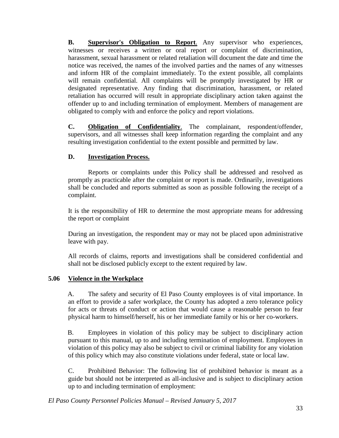**B.** Supervisor's Obligation to Report. Any supervisor who experiences, witnesses or receives a written or oral report or complaint of discrimination, harassment, sexual harassment or related retaliation will document the date and time the notice was received, the names of the involved parties and the names of any witnesses and inform HR of the complaint immediately. To the extent possible, all complaints will remain confidential. All complaints will be promptly investigated by HR or designated representative. Any finding that discrimination, harassment, or related retaliation has occurred will result in appropriate disciplinary action taken against the offender up to and including termination of employment. Members of management are obligated to comply with and enforce the policy and report violations.

**C. Obligation of Confidentiality.** The complainant, respondent/offender, supervisors, and all witnesses shall keep information regarding the complaint and any resulting investigation confidential to the extent possible and permitted by law.

#### **D. Investigation Process.**

Reports or complaints under this Policy shall be addressed and resolved as promptly as practicable after the complaint or report is made. Ordinarily, investigations shall be concluded and reports submitted as soon as possible following the receipt of a complaint.

It is the responsibility of HR to determine the most appropriate means for addressing the report or complaint

During an investigation, the respondent may or may not be placed upon administrative leave with pay.

All records of claims, reports and investigations shall be considered confidential and shall not be disclosed publicly except to the extent required by law.

#### **5.06 Violence in the Workplace**

A. The safety and security of El Paso County employees is of vital importance. In an effort to provide a safer workplace, the County has adopted a zero tolerance policy for acts or threats of conduct or action that would cause a reasonable person to fear physical harm to himself/herself, his or her immediate family or his or her co-workers.

B. Employees in violation of this policy may be subject to disciplinary action pursuant to this manual, up to and including termination of employment. Employees in violation of this policy may also be subject to civil or criminal liability for any violation of this policy which may also constitute violations under federal, state or local law.

C. Prohibited Behavior: The following list of prohibited behavior is meant as a guide but should not be interpreted as all-inclusive and is subject to disciplinary action up to and including termination of employment: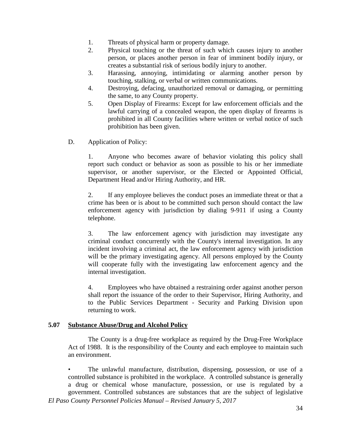- 1. Threats of physical harm or property damage.
- 2. Physical touching or the threat of such which causes injury to another person, or places another person in fear of imminent bodily injury, or creates a substantial risk of serious bodily injury to another.
- 3. Harassing, annoying, intimidating or alarming another person by touching, stalking, or verbal or written communications.
- 4. Destroying, defacing, unauthorized removal or damaging, or permitting the same, to any County property.
- 5. Open Display of Firearms: Except for law enforcement officials and the lawful carrying of a concealed weapon, the open display of firearms is prohibited in all County facilities where written or verbal notice of such prohibition has been given.
- D. Application of Policy:

1. Anyone who becomes aware of behavior violating this policy shall report such conduct or behavior as soon as possible to his or her immediate supervisor, or another supervisor, or the Elected or Appointed Official, Department Head and/or Hiring Authority, and HR.

2. If any employee believes the conduct poses an immediate threat or that a crime has been or is about to be committed such person should contact the law enforcement agency with jurisdiction by dialing 9-911 if using a County telephone.

3. The law enforcement agency with jurisdiction may investigate any criminal conduct concurrently with the County's internal investigation. In any incident involving a criminal act, the law enforcement agency with jurisdiction will be the primary investigating agency. All persons employed by the County will cooperate fully with the investigating law enforcement agency and the internal investigation.

4. Employees who have obtained a restraining order against another person shall report the issuance of the order to their Supervisor, Hiring Authority, and to the Public Services Department - Security and Parking Division upon returning to work.

#### **5.07 Substance Abuse/Drug and Alcohol Policy**

The County is a drug-free workplace as required by the Drug-Free Workplace Act of 1988. It is the responsibility of the County and each employee to maintain such an environment.

*El Paso County Personnel Policies Manual – Revised January 5, 2017* • The unlawful manufacture, distribution, dispensing, possession, or use of a controlled substance is prohibited in the workplace. A controlled substance is generally a drug or chemical whose manufacture, possession, or use is regulated by a government. Controlled substances are substances that are the subject of legislative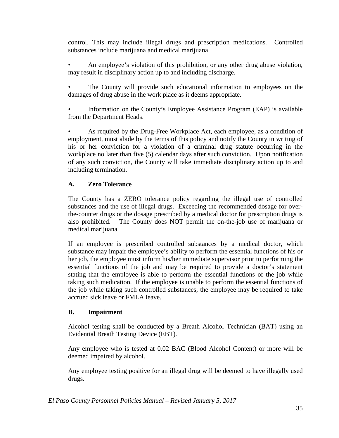control. This may include illegal drugs and prescription medications. Controlled substances include marijuana and medical marijuana.

• An employee's violation of this prohibition, or any other drug abuse violation, may result in disciplinary action up to and including discharge.

• The County will provide such educational information to employees on the damages of drug abuse in the work place as it deems appropriate.

• Information on the County's Employee Assistance Program (EAP) is available from the Department Heads.

• As required by the Drug-Free Workplace Act, each employee, as a condition of employment, must abide by the terms of this policy and notify the County in writing of his or her conviction for a violation of a criminal drug statute occurring in the workplace no later than five (5) calendar days after such conviction. Upon notification of any such conviction, the County will take immediate disciplinary action up to and including termination.

# **A. Zero Tolerance**

The County has a ZERO tolerance policy regarding the illegal use of controlled substances and the use of illegal drugs. Exceeding the recommended dosage for overthe-counter drugs or the dosage prescribed by a medical doctor for prescription drugs is also prohibited. The County does NOT permit the on-the-job use of marijuana or medical marijuana.

If an employee is prescribed controlled substances by a medical doctor, which substance may impair the employee's ability to perform the essential functions of his or her job, the employee must inform his/her immediate supervisor prior to performing the essential functions of the job and may be required to provide a doctor's statement stating that the employee is able to perform the essential functions of the job while taking such medication. If the employee is unable to perform the essential functions of the job while taking such controlled substances, the employee may be required to take accrued sick leave or FMLA leave.

## **B. Impairment**

Alcohol testing shall be conducted by a Breath Alcohol Technician (BAT) using an Evidential Breath Testing Device (EBT).

Any employee who is tested at 0.02 BAC (Blood Alcohol Content) or more will be deemed impaired by alcohol.

Any employee testing positive for an illegal drug will be deemed to have illegally used drugs.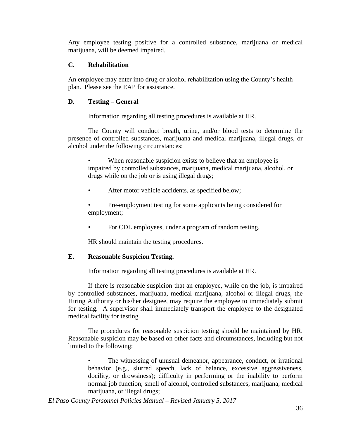Any employee testing positive for a controlled substance, marijuana or medical marijuana, will be deemed impaired.

#### **C. Rehabilitation**

An employee may enter into drug or alcohol rehabilitation using the County's health plan. Please see the EAP for assistance.

#### **D. Testing – General**

Information regarding all testing procedures is available at HR.

The County will conduct breath, urine, and/or blood tests to determine the presence of controlled substances, marijuana and medical marijuana, illegal drugs, or alcohol under the following circumstances:

When reasonable suspicion exists to believe that an employee is impaired by controlled substances, marijuana, medical marijuana, alcohol, or drugs while on the job or is using illegal drugs;

After motor vehicle accidents, as specified below;

• Pre-employment testing for some applicants being considered for employment;

For CDL employees, under a program of random testing.

HR should maintain the testing procedures.

## **E. Reasonable Suspicion Testing.**

Information regarding all testing procedures is available at HR.

If there is reasonable suspicion that an employee, while on the job, is impaired by controlled substances, marijuana, medical marijuana, alcohol or illegal drugs, the Hiring Authority or his/her designee, may require the employee to immediately submit for testing. A supervisor shall immediately transport the employee to the designated medical facility for testing.

The procedures for reasonable suspicion testing should be maintained by HR. Reasonable suspicion may be based on other facts and circumstances, including but not limited to the following:

The witnessing of unusual demeanor, appearance, conduct, or irrational behavior (e.g., slurred speech, lack of balance, excessive aggressiveness, docility, or drowsiness); difficulty in performing or the inability to perform normal job function; smell of alcohol, controlled substances, marijuana, medical marijuana, or illegal drugs;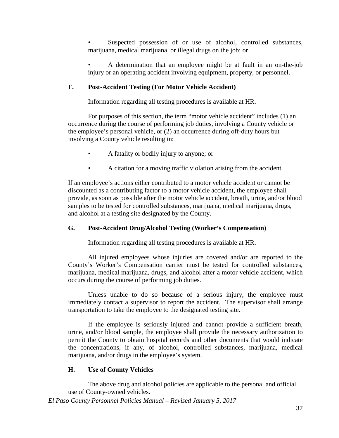Suspected possession of or use of alcohol, controlled substances, marijuana, medical marijuana, or illegal drugs on the job; or

• A determination that an employee might be at fault in an on-the-job injury or an operating accident involving equipment, property, or personnel.

## **F. Post-Accident Testing (For Motor Vehicle Accident)**

Information regarding all testing procedures is available at HR.

For purposes of this section, the term "motor vehicle accident" includes (1) an occurrence during the course of performing job duties, involving a County vehicle or the employee's personal vehicle, or (2) an occurrence during off-duty hours but involving a County vehicle resulting in:

- A fatality or bodily injury to anyone; or
- A citation for a moving traffic violation arising from the accident.

If an employee's actions either contributed to a motor vehicle accident or cannot be discounted as a contributing factor to a motor vehicle accident, the employee shall provide, as soon as possible after the motor vehicle accident, breath, urine, and/or blood samples to be tested for controlled substances, marijuana, medical marijuana, drugs, and alcohol at a testing site designated by the County.

### **G. Post-Accident Drug/Alcohol Testing (Worker's Compensation)**

Information regarding all testing procedures is available at HR.

All injured employees whose injuries are covered and/or are reported to the County's Worker's Compensation carrier must be tested for controlled substances, marijuana, medical marijuana, drugs, and alcohol after a motor vehicle accident, which occurs during the course of performing job duties.

Unless unable to do so because of a serious injury, the employee must immediately contact a supervisor to report the accident. The supervisor shall arrange transportation to take the employee to the designated testing site.

If the employee is seriously injured and cannot provide a sufficient breath, urine, and/or blood sample, the employee shall provide the necessary authorization to permit the County to obtain hospital records and other documents that would indicate the concentrations, if any, of alcohol, controlled substances, marijuana, medical marijuana, and/or drugs in the employee's system.

### **H. Use of County Vehicles**

The above drug and alcohol policies are applicable to the personal and official use of County-owned vehicles.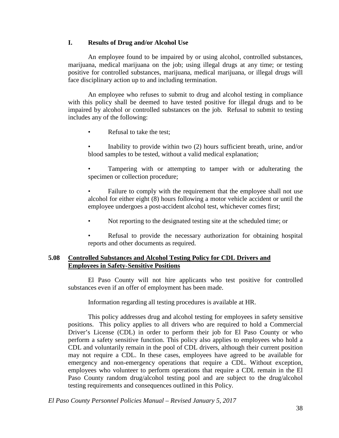### **I. Results of Drug and/or Alcohol Use**

An employee found to be impaired by or using alcohol, controlled substances, marijuana, medical marijuana on the job; using illegal drugs at any time; or testing positive for controlled substances, marijuana, medical marijuana, or illegal drugs will face disciplinary action up to and including termination.

An employee who refuses to submit to drug and alcohol testing in compliance with this policy shall be deemed to have tested positive for illegal drugs and to be impaired by alcohol or controlled substances on the job. Refusal to submit to testing includes any of the following:

- Refusal to take the test;
- Inability to provide within two (2) hours sufficient breath, urine, and/or blood samples to be tested, without a valid medical explanation;
- Tampering with or attempting to tamper with or adulterating the specimen or collection procedure;

Failure to comply with the requirement that the employee shall not use alcohol for either eight (8) hours following a motor vehicle accident or until the employee undergoes a post-accident alcohol test, whichever comes first;

- Not reporting to the designated testing site at the scheduled time; or
- Refusal to provide the necessary authorization for obtaining hospital reports and other documents as required.

### **5.08 Controlled Substances and Alcohol Testing Policy for CDL Drivers and Employees in Safety-Sensitive Positions**

El Paso County will not hire applicants who test positive for controlled substances even if an offer of employment has been made.

Information regarding all testing procedures is available at HR.

This policy addresses drug and alcohol testing for employees in safety sensitive positions. This policy applies to all drivers who are required to hold a Commercial Driver's License (CDL) in order to perform their job for El Paso County or who perform a safety sensitive function. This policy also applies to employees who hold a CDL and voluntarily remain in the pool of CDL drivers, although their current position may not require a CDL. In these cases, employees have agreed to be available for emergency and non-emergency operations that require a CDL. Without exception, employees who volunteer to perform operations that require a CDL remain in the El Paso County random drug/alcohol testing pool and are subject to the drug/alcohol testing requirements and consequences outlined in this Policy.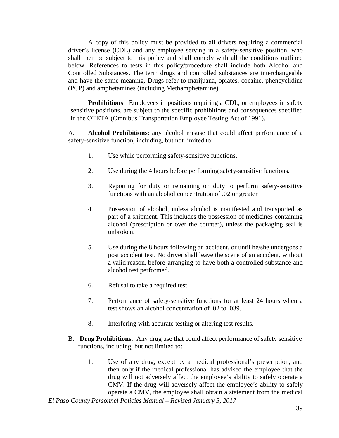A copy of this policy must be provided to all drivers requiring a commercial driver's license (CDL) and any employee serving in a safety-sensitive position, who shall then be subject to this policy and shall comply with all the conditions outlined below. References to tests in this policy/procedure shall include both Alcohol and Controlled Substances. The term drugs and controlled substances are interchangeable and have the same meaning. Drugs refer to marijuana, opiates, cocaine, phencyclidine (PCP) and amphetamines (including Methamphetamine).

**Prohibitions**: Employees in positions requiring a CDL, or employees in safety sensitive positions, are subject to the specific prohibitions and consequences specified in the OTETA (Omnibus Transportation Employee Testing Act of 1991).

A. **Alcohol Prohibitions**: any alcohol misuse that could affect performance of a safety-sensitive function, including, but not limited to:

- 1. Use while performing safety-sensitive functions.
- 2. Use during the 4 hours before performing safety-sensitive functions.
- 3. Reporting for duty or remaining on duty to perform safety-sensitive functions with an alcohol concentration of .02 or greater
- 4. Possession of alcohol, unless alcohol is manifested and transported as part of a shipment. This includes the possession of medicines containing alcohol (prescription or over the counter), unless the packaging seal is unbroken.
- 5. Use during the 8 hours following an accident, or until he/she undergoes a post accident test. No driver shall leave the scene of an accident, without a valid reason, before arranging to have both a controlled substance and alcohol test performed.
- 6. Refusal to take a required test.
- 7. Performance of safety-sensitive functions for at least 24 hours when a test shows an alcohol concentration of .02 to .039.
- 8. Interfering with accurate testing or altering test results.
- B. **Drug Prohibitions**:Any drug use that could affect performance of safety sensitive functions, including, but not limited to:
	- 1. Use of any drug, except by a medical professional's prescription, and then only if the medical professional has advised the employee that the drug will not adversely affect the employee's ability to safely operate a CMV. If the drug will adversely affect the employee's ability to safely operate a CMV, the employee shall obtain a statement from the medical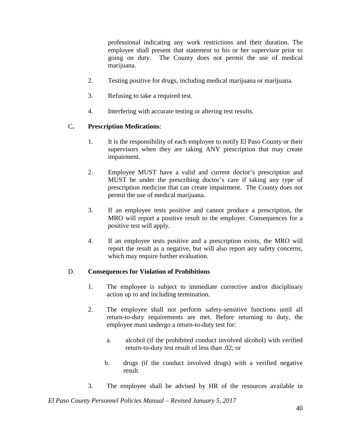professional indicating any work restrictions and their duration. The employee shall present that statement to his or her supervisor prior to going on duty. The County does not permit the use of medical marijuana.

- 2. Testing positive for drugs, including medical marijuana or marijuana.
- 3. Refusing to take a required test.
- 4. Interfering with accurate testing or altering test results.

## C**. Prescription Medications**:

- 1. It is the responsibility of each employee to notify El Paso County or their supervisors when they are taking ANY prescription that may create impairment.
- 2. Employee MUST have a valid and current doctor's prescription and MUST be under the prescribing doctor's care if taking any type of prescription medicine that can create impairment. The County does not permit the use of medical marijuana.
- 3. If an employee tests positive and cannot produce a prescription, the MRO will report a positive result to the employer. Consequences for a positive test will apply.
- 4. If an employee tests positive and a prescription exists, the MRO will report the result as a negative, but will also report any safety concerns, which may require further evaluation.

### D. **Consequences for Violation of Prohibitions**

- 1. The employee is subject to immediate corrective and/or disciplinary action up to and including termination.
- 2. The employee shall not perform safety-sensitive functions until all return-to-duty requirements are met. Before returning to duty, the employee must undergo a return-to-duty test for:
	- a. alcohol (if the prohibited conduct involved alcohol) with verified return-to-duty test result of less than .02; or
	- b. drugs (if the conduct involved drugs) with a verified negative result.
- 3. The employee shall be advised by HR of the resources available in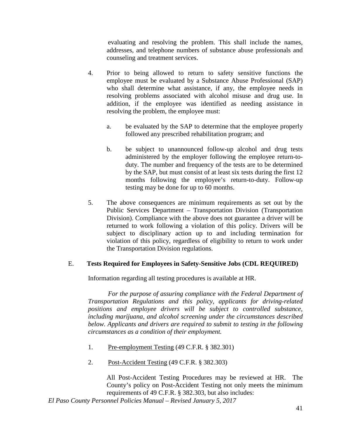evaluating and resolving the problem. This shall include the names, addresses, and telephone numbers of substance abuse professionals and counseling and treatment services.

- 4. Prior to being allowed to return to safety sensitive functions the employee must be evaluated by a Substance Abuse Professional (SAP) who shall determine what assistance, if any, the employee needs in resolving problems associated with alcohol misuse and drug use. In addition, if the employee was identified as needing assistance in resolving the problem, the employee must:
	- a. be evaluated by the SAP to determine that the employee properly followed any prescribed rehabilitation program; and
	- b. be subject to unannounced follow-up alcohol and drug tests administered by the employer following the employee return-toduty. The number and frequency of the tests are to be determined by the SAP, but must consist of at least six tests during the first 12 months following the employee's return-to-duty. Follow-up testing may be done for up to 60 months.
- 5. The above consequences are minimum requirements as set out by the Public Services Department – Transportation Division (Transportation Division). Compliance with the above does not guarantee a driver will be returned to work following a violation of this policy. Drivers will be subject to disciplinary action up to and including termination for violation of this policy, regardless of eligibility to return to work under the Transportation Division regulations.

## E. **Tests Required for Employees in Safety-Sensitive Jobs (CDL REQUIRED)**

Information regarding all testing procedures is available at HR.

*For the purpose of assuring compliance with the Federal Department of Transportation Regulations and this policy, applicants for driving-related positions and employee drivers will be subject to controlled substance, including marijuana, and alcohol screening under the circumstances described below. Applicants and drivers are required to submit to testing in the following circumstances as a condition of their employment.*

- 1. Pre-employment Testing (49 C.F.R. § 382.301)
- 2. Post-Accident Testing (49 C.F.R. § 382.303)

All Post-Accident Testing Procedures may be reviewed at HR. The County's policy on Post-Accident Testing not only meets the minimum requirements of 49 C.F.R. § 382.303, but also includes: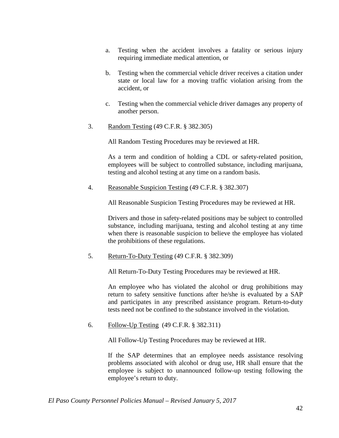- a. Testing when the accident involves a fatality or serious injury requiring immediate medical attention, or
- b. Testing when the commercial vehicle driver receives a citation under state or local law for a moving traffic violation arising from the accident, or
- c. Testing when the commercial vehicle driver damages any property of another person.
- 3. Random Testing (49 C.F.R. § 382.305)

All Random Testing Procedures may be reviewed at HR.

As a term and condition of holding a CDL or safety-related position, employees will be subject to controlled substance, including marijuana, testing and alcohol testing at any time on a random basis.

4. Reasonable Suspicion Testing (49 C.F.R. § 382.307)

All Reasonable Suspicion Testing Procedures may be reviewed at HR.

Drivers and those in safety-related positions may be subject to controlled substance, including marijuana, testing and alcohol testing at any time when there is reasonable suspicion to believe the employee has violated the prohibitions of these regulations.

5. Return-To-Duty Testing (49 C.F.R. § 382.309)

All Return-To-Duty Testing Procedures may be reviewed at HR.

An employee who has violated the alcohol or drug prohibitions may return to safety sensitive functions after he/she is evaluated by a SAP and participates in any prescribed assistance program. Return-to-duty tests need not be confined to the substance involved in the violation.

6. Follow-Up Testing (49 C.F.R. § 382.311)

All Follow-Up Testing Procedures may be reviewed at HR.

If the SAP determines that an employee needs assistance resolving problems associated with alcohol or drug use, HR shall ensure that the employee is subject to unannounced follow-up testing following the employee's return to duty.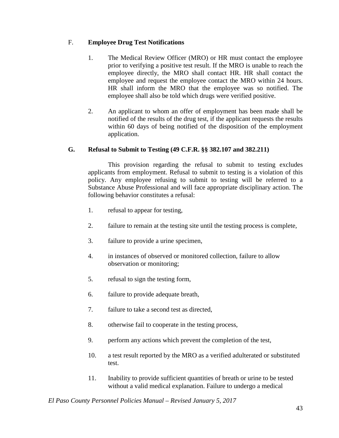# F. **Employee Drug Test Notifications**

- 1. The Medical Review Officer (MRO) or HR must contact the employee prior to verifying a positive test result. If the MRO is unable to reach the employee directly, the MRO shall contact HR. HR shall contact the employee and request the employee contact the MRO within 24 hours. HR shall inform the MRO that the employee was so notified. The employee shall also be told which drugs were verified positive.
- 2. An applicant to whom an offer of employment has been made shall be notified of the results of the drug test, if the applicant requests the results within 60 days of being notified of the disposition of the employment application.

## **G. Refusal to Submit to Testing (49 C.F.R. §§ 382.107 and 382.211)**

This provision regarding the refusal to submit to testing excludes applicants from employment. Refusal to submit to testing is a violation of this policy. Any employee refusing to submit to testing will be referred to a Substance Abuse Professional and will face appropriate disciplinary action. The following behavior constitutes a refusal:

- 1. refusal to appear for testing,
- 2. failure to remain at the testing site until the testing process is complete,
- 3. failure to provide a urine specimen,
- 4. in instances of observed or monitored collection, failure to allow observation or monitoring;
- 5. refusal to sign the testing form,
- 6. failure to provide adequate breath,
- 7. failure to take a second test as directed,
- 8. otherwise fail to cooperate in the testing process,
- 9. perform any actions which prevent the completion of the test,
- 10. a test result reported by the MRO as a verified adulterated or substituted test.
- 11. Inability to provide sufficient quantities of breath or urine to be tested without a valid medical explanation. Failure to undergo a medical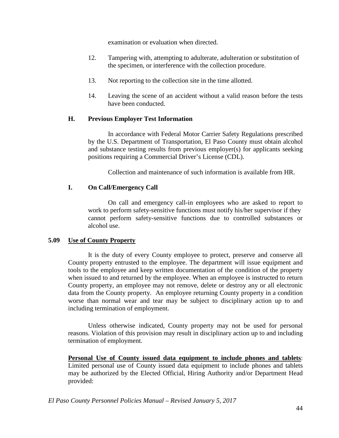examination or evaluation when directed.

- 12. Tampering with, attempting to adulterate, adulteration or substitution of the specimen, or interference with the collection procedure.
- 13. Not reporting to the collection site in the time allotted.
- 14. Leaving the scene of an accident without a valid reason before the tests have been conducted.

## **H. Previous Employer Test Information**

In accordance with Federal Motor Carrier Safety Regulations prescribed by the U.S. Department of Transportation, El Paso County must obtain alcohol and substance testing results from previous employer(s) for applicants seeking positions requiring a Commercial Driver's License (CDL).

Collection and maintenance of such information is available from HR.

## **I. On Call/Emergency Call**

On call and emergency call-in employees who are asked to report to work to perform safety-sensitive functions must notify his/her supervisor if they cannot perform safety-sensitive functions due to controlled substances or alcohol use.

#### **5.09 Use of County Property**

It is the duty of every County employee to protect, preserve and conserve all County property entrusted to the employee. The department will issue equipment and tools to the employee and keep written documentation of the condition of the property when issued to and returned by the employee. When an employee is instructed to return County property, an employee may not remove, delete or destroy any or all electronic data from the County property. An employee returning County property in a condition worse than normal wear and tear may be subject to disciplinary action up to and including termination of employment.

Unless otherwise indicated, County property may not be used for personal reasons. Violation of this provision may result in disciplinary action up to and including termination of employment.

**Personal Use of County issued data equipment to include phones and tablets**: Limited personal use of County issued data equipment to include phones and tablets may be authorized by the Elected Official, Hiring Authority and/or Department Head provided: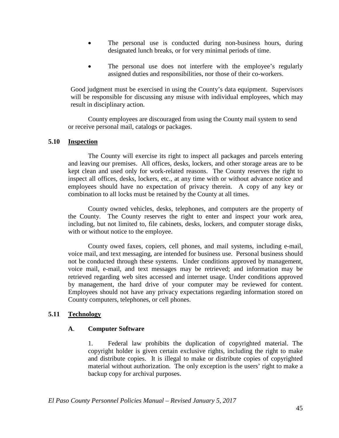- The personal use is conducted during non-business hours, during designated lunch breaks, or for very minimal periods of time.
- The personal use does not interfere with the employee's regularly assigned duties and responsibilities, nor those of their co-workers.

Good judgment must be exercised in using the County's data equipment. Supervisors will be responsible for discussing any misuse with individual employees, which may result in disciplinary action.

County employees are discouraged from using the County mail system to send or receive personal mail, catalogs or packages.

#### **5.10 Inspection**

The County will exercise its right to inspect all packages and parcels entering and leaving our premises. All offices, desks, lockers, and other storage areas are to be kept clean and used only for work-related reasons. The County reserves the right to inspect all offices, desks, lockers, etc., at any time with or without advance notice and employees should have no expectation of privacy therein. A copy of any key or combination to all locks must be retained by the County at all times.

County owned vehicles, desks, telephones, and computers are the property of the County. The County reserves the right to enter and inspect your work area, including, but not limited to, file cabinets, desks, lockers, and computer storage disks, with or without notice to the employee.

County owed faxes, copiers, cell phones, and mail systems, including e-mail, voice mail, and text messaging, are intended for business use. Personal business should not be conducted through these systems. Under conditions approved by management, voice mail, e-mail, and text messages may be retrieved; and information may be retrieved regarding web sites accessed and internet usage. Under conditions approved by management, the hard drive of your computer may be reviewed for content. Employees should not have any privacy expectations regarding information stored on County computers, telephones, or cell phones.

#### **5.11 Technology**

### **A**. **Computer Software**

1. Federal law prohibits the duplication of copyrighted material. The copyright holder is given certain exclusive rights, including the right to make and distribute copies. It is illegal to make or distribute copies of copyrighted material without authorization. The only exception is the users' right to make a backup copy for archival purposes.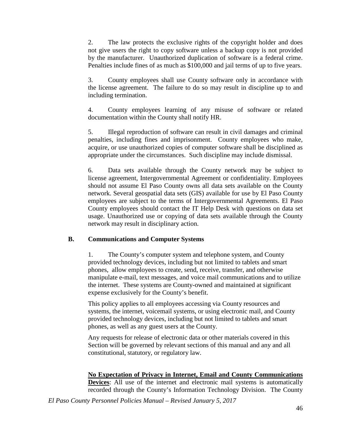2. The law protects the exclusive rights of the copyright holder and does not give users the right to copy software unless a backup copy is not provided by the manufacturer. Unauthorized duplication of software is a federal crime. Penalties include fines of as much as \$100,000 and jail terms of up to five years.

3. County employees shall use County software only in accordance with the license agreement. The failure to do so may result in discipline up to and including termination.

4. County employees learning of any misuse of software or related documentation within the County shall notify HR.

5. Illegal reproduction of software can result in civil damages and criminal penalties, including fines and imprisonment. County employees who make, acquire, or use unauthorized copies of computer software shall be disciplined as appropriate under the circumstances. Such discipline may include dismissal.

6. Data sets available through the County network may be subject to license agreement, Intergovernmental Agreement or confidentiality. Employees should not assume El Paso County owns all data sets available on the County network. Several geospatial data sets (GIS) available for use by El Paso County employees are subject to the terms of Intergovernmental Agreements. El Paso County employees should contact the IT Help Desk with questions on data set usage. Unauthorized use or copying of data sets available through the County network may result in disciplinary action.

### **B. Communications and Computer Systems**

1. The County's computer system and telephone system, and County provided technology devices, including but not limited to tablets and smart phones, allow employees to create, send, receive, transfer, and otherwise manipulate e-mail, text messages, and voice mail communications and to utilize the internet. These systems are County-owned and maintained at significant expense exclusively for the County's benefit.

This policy applies to all employees accessing via County resources and systems, the internet, voicemail systems, or using electronic mail, and County provided technology devices, including but not limited to tablets and smart phones, as well as any guest users at the County.

Any requests for release of electronic data or other materials covered in this Section will be governed by relevant sections of this manual and any and all constitutional, statutory, or regulatory law.

**No Expectation of Privacy in Internet, Email and County Communications Devices**: All use of the internet and electronic mail systems is automatically recorded through the County's Information Technology Division. The County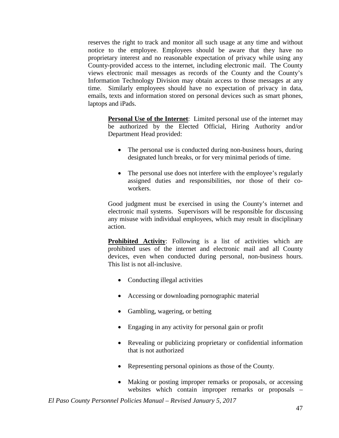reserves the right to track and monitor all such usage at any time and without notice to the employee. Employees should be aware that they have no proprietary interest and no reasonable expectation of privacy while using any County-provided access to the internet, including electronic mail. The County views electronic mail messages as records of the County and the County's Information Technology Division may obtain access to those messages at any time. Similarly employees should have no expectation of privacy in data, emails, texts and information stored on personal devices such as smart phones, laptops and iPads.

**Personal Use of the Internet**: Limited personal use of the internet may be authorized by the Elected Official, Hiring Authority and/or Department Head provided:

- The personal use is conducted during non-business hours, during designated lunch breaks, or for very minimal periods of time.
- The personal use does not interfere with the employee's regularly assigned duties and responsibilities, nor those of their coworkers.

Good judgment must be exercised in using the County's internet and electronic mail systems. Supervisors will be responsible for discussing any misuse with individual employees, which may result in disciplinary action.

**Prohibited Activity**: Following is a list of activities which are prohibited uses of the internet and electronic mail and all County devices, even when conducted during personal, non-business hours. This list is not all-inclusive.

- Conducting illegal activities
- Accessing or downloading pornographic material
- Gambling, wagering, or betting
- Engaging in any activity for personal gain or profit
- Revealing or publicizing proprietary or confidential information that is not authorized
- Representing personal opinions as those of the County.
- Making or posting improper remarks or proposals, or accessing websites which contain improper remarks or proposals –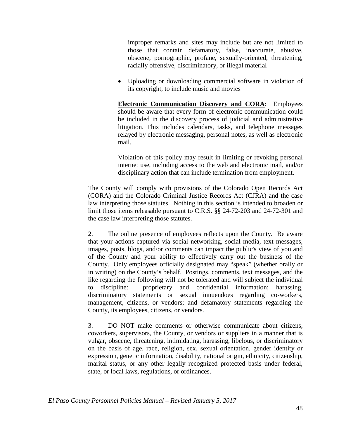improper remarks and sites may include but are not limited to those that contain defamatory, false, inaccurate, abusive, obscene, pornographic, profane, sexually-oriented, threatening, racially offensive, discriminatory, or illegal material

• Uploading or downloading commercial software in violation of its copyright, to include music and movies

**Electronic Communication Discovery and CORA**: Employees should be aware that every form of electronic communication could be included in the discovery process of judicial and administrative litigation. This includes calendars, tasks, and telephone messages relayed by electronic messaging, personal notes, as well as electronic mail.

Violation of this policy may result in limiting or revoking personal internet use, including access to the web and electronic mail, and/or disciplinary action that can include termination from employment.

The County will comply with provisions of the Colorado Open Records Act (CORA) and the Colorado Criminal Justice Records Act (CJRA) and the case law interpreting those statutes. Nothing in this section is intended to broaden or limit those items releasable pursuant to C.R.S. §§ 24-72-203 and 24-72-301 and the case law interpreting those statutes.

2. The online presence of employees reflects upon the County. Be aware that your actions captured via social networking, social media, text messages, images, posts, blogs, and/or comments can impact the public's view of you and of the County and your ability to effectively carry out the business of the County. Only employees officially designated may "speak" (whether orally or in writing) on the County's behalf. Postings, comments, text messages, and the like regarding the following will not be tolerated and will subject the individual to discipline: proprietary and confidential information; harassing, discriminatory statements or sexual innuendoes regarding co-workers, management, citizens, or vendors; and defamatory statements regarding the County, its employees, citizens, or vendors.

3. DO NOT make comments or otherwise communicate about citizens, coworkers, supervisors, the County, or vendors or suppliers in a manner that is vulgar, obscene, threatening, intimidating, harassing, libelous, or discriminatory on the basis of age, race, religion, sex, sexual orientation, gender identity or expression, genetic information, disability, national origin, ethnicity, citizenship, marital status, or any other legally recognized protected basis under federal, state, or local laws, regulations, or ordinances.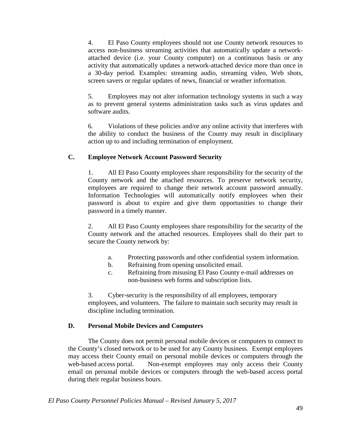4. El Paso County employees should not use County network resources to access non-business streaming activities that automatically update a networkattached device (i.e. your County computer) on a continuous basis or any activity that automatically updates a network-attached device more than once in a 30-day period. Examples: streaming audio, streaming video, Web shots, screen savers or regular updates of news, financial or weather information.

5. Employees may not alter information technology systems in such a way as to prevent general systems administration tasks such as virus updates and software audits.

6. Violations of these policies and/or any online activity that interferes with the ability to conduct the business of the County may result in disciplinary action up to and including termination of employment.

## **C. Employee Network Account Password Security**

1. All El Paso County employees share responsibility for the security of the County network and the attached resources. To preserve network security, employees are required to change their network account password annually. Information Technologies will automatically notify employees when their password is about to expire and give them opportunities to change their password in a timely manner.

2. All El Paso County employees share responsibility for the security of the County network and the attached resources. Employees shall do their part to secure the County network by:

- a. Protecting passwords and other confidential system information.
- b. Refraining from opening unsolicited email.
- c. Refraining from misusing El Paso County e-mail addresses on non-business web forms and subscription lists.

3. Cyber-security is the responsibility of all employees, temporary employees, and volunteers. The failure to maintain such security may result in discipline including termination.

## **D. Personal Mobile Devices and Computers**

The County does not permit personal mobile devices or computers to connect to the County's closed network or to be used for any County business. Exempt employees may access their County email on personal mobile devices or computers through the web-based access portal. Non-exempt employees may only access their County email on personal mobile devices or computers through the web-based access portal during their regular business hours.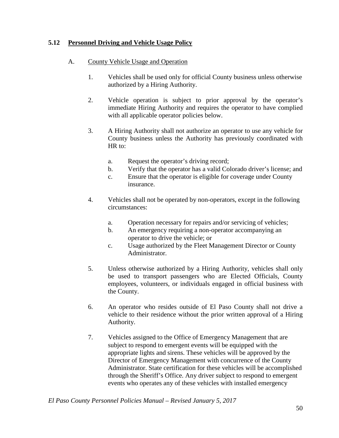#### **5.12 Personnel Driving and Vehicle Usage Policy**

#### A. County Vehicle Usage and Operation

- 1. Vehicles shall be used only for official County business unless otherwise authorized by a Hiring Authority.
- 2. Vehicle operation is subject to prior approval by the operator's immediate Hiring Authority and requires the operator to have complied with all applicable operator policies below.
- 3. A Hiring Authority shall not authorize an operator to use any vehicle for County business unless the Authority has previously coordinated with HR to:
	- a. Request the operator's driving record;
	- b. Verify that the operator has a valid Colorado driver's license; and
	- c. Ensure that the operator is eligible for coverage under County insurance.
- 4. Vehicles shall not be operated by non-operators, except in the following circumstances:
	- a. Operation necessary for repairs and/or servicing of vehicles;
	- b. An emergency requiring a non-operator accompanying an operator to drive the vehicle; or
	- c. Usage authorized by the Fleet Management Director or County Administrator.
- 5. Unless otherwise authorized by a Hiring Authority, vehicles shall only be used to transport passengers who are Elected Officials, County employees, volunteers, or individuals engaged in official business with the County.
- 6. An operator who resides outside of El Paso County shall not drive a vehicle to their residence without the prior written approval of a Hiring Authority.
- 7. Vehicles assigned to the Office of Emergency Management that are subject to respond to emergent events will be equipped with the appropriate lights and sirens. These vehicles will be approved by the Director of Emergency Management with concurrence of the County Administrator. State certification for these vehicles will be accomplished through the Sheriff's Office. Any driver subject to respond to emergent events who operates any of these vehicles with installed emergency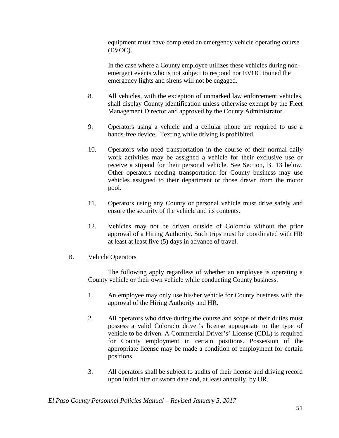equipment must have completed an emergency vehicle operating course (EVOC).

In the case where a County employee utilizes these vehicles during nonemergent events who is not subject to respond nor EVOC trained the emergency lights and sirens will not be engaged.

- 8. All vehicles, with the exception of unmarked law enforcement vehicles, shall display County identification unless otherwise exempt by the Fleet Management Director and approved by the County Administrator.
- 9. Operators using a vehicle and a cellular phone are required to use a hands-free device. Texting while driving is prohibited.
- 10. Operators who need transportation in the course of their normal daily work activities may be assigned a vehicle for their exclusive use or receive a stipend for their personal vehicle. See Section, B. 13 below. Other operators needing transportation for County business may use vehicles assigned to their department or those drawn from the motor pool.
- 11. Operators using any County or personal vehicle must drive safely and ensure the security of the vehicle and its contents.
- 12. Vehicles may not be driven outside of Colorado without the prior approval of a Hiring Authority. Such trips must be coordinated with HR at least at least five (5) days in advance of travel.

#### B. Vehicle Operators

The following apply regardless of whether an employee is operating a County vehicle or their own vehicle while conducting County business.

- 1. An employee may only use his/her vehicle for County business with the approval of the Hiring Authority and HR.
- 2. All operators who drive during the course and scope of their duties must possess a valid Colorado driver's license appropriate to the type of vehicle to be driven. A Commercial Driver's' License (CDL) is required for County employment in certain positions. Possession of the appropriate license may be made a condition of employment for certain positions.
- 3. All operators shall be subject to audits of their license and driving record upon initial hire or sworn date and, at least annually, by HR.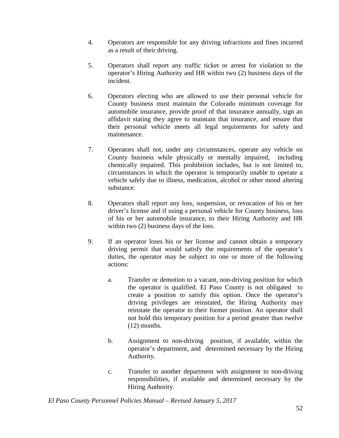- 4. Operators are responsible for any driving infractions and fines incurred as a result of their driving.
- 5. Operators shall report any traffic ticket or arrest for violation to the operator's Hiring Authority and HR within two (2) business days of the incident.
- 6. Operators electing who are allowed to use their personal vehicle for County business must maintain the Colorado minimum coverage for automobile insurance, provide proof of that insurance annually, sign an affidavit stating they agree to maintain that insurance, and ensure that their personal vehicle meets all legal requirements for safety and maintenance.
- 7. Operators shall not, under any circumstances, operate any vehicle on County business while physically or mentally impaired, including chemically impaired. This prohibition includes, but is not limited to, circumstances in which the operator is temporarily unable to operate a vehicle safely due to illness, medication, alcohol or other mood altering substance.
- 8. Operators shall report any loss, suspension, or revocation of his or her driver's license and if using a personal vehicle for County business, loss of his or her automobile insurance, to their Hiring Authority and HR within two  $(2)$  business days of the loss.
- 9. If an operator loses his or her license and cannot obtain a temporary driving permit that would satisfy the requirements of the operator's duties, the operator may be subject to one or more of the following actions:
	- a. Transfer or demotion to a vacant, non-driving position for which the operator is qualified. El Paso County is not obligated to create a position to satisfy this option. Once the operator's driving privileges are reinstated, the Hiring Authority may reinstate the operator to their former position. An operator shall not hold this temporary position for a period greater than twelve (12) months.
	- b. Assignment to non-driving position, if available, within the operator's department, and determined necessary by the Hiring Authority.
	- c. Transfer to another department with assignment to non-driving responsibilities, if available and determined necessary by the Hiring Authority.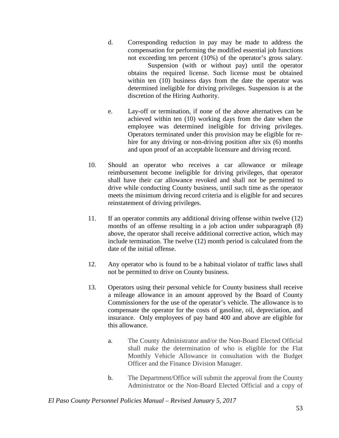- d. Corresponding reduction in pay may be made to address the compensation for performing the modified essential job functions not exceeding ten percent (10%) of the operator's gross salary. Suspension (with or without pay) until the operator obtains the required license. Such license must be obtained within ten (10) business days from the date the operator was determined ineligible for driving privileges. Suspension is at the discretion of the Hiring Authority.
- e. Lay-off or termination, if none of the above alternatives can be achieved within ten (10) working days from the date when the employee was determined ineligible for driving privileges. Operators terminated under this provision may be eligible for rehire for any driving or non-driving position after six (6) months and upon proof of an acceptable licensure and driving record.
- 10. Should an operator who receives a car allowance or mileage reimbursement become ineligible for driving privileges, that operator shall have their car allowance revoked and shall not be permitted to drive while conducting County business, until such time as the operator meets the minimum driving record criteria and is eligible for and secures reinstatement of driving privileges.
- 11. If an operator commits any additional driving offense within twelve (12) months of an offense resulting in a job action under subparagraph (8) above, the operator shall receive additional corrective action, which may include termination. The twelve (12) month period is calculated from the date of the initial offense.
- 12. Any operator who is found to be a habitual violator of traffic laws shall not be permitted to drive on County business.
- 13. Operators using their personal vehicle for County business shall receive a mileage allowance in an amount approved by the Board of County Commissioners for the use of the operator's vehicle. The allowance is to compensate the operator for the costs of gasoline, oil, depreciation, and insurance. Only employees of pay band 400 and above are eligible for this allowance.
	- a. The County Administrator and/or the Non-Board Elected Official shall make the determination of who is eligible for the Flat Monthly Vehicle Allowance in consultation with the Budget Officer and the Finance Division Manager.
	- b. The Department/Office will submit the approval from the County Administrator or the Non-Board Elected Official and a copy of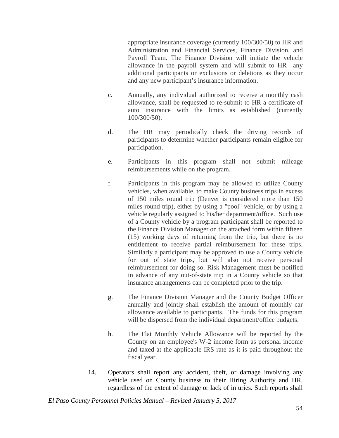appropriate insurance coverage (currently 100/300/50) to HR and Administration and Financial Services, Finance Division, and Payroll Team. The Finance Division will initiate the vehicle allowance in the payroll system and will submit to HR any additional participants or exclusions or deletions as they occur and any new participant's insurance information.

- c. Annually, any individual authorized to receive a monthly cash allowance, shall be requested to re-submit to HR a certificate of auto insurance with the limits as established (currently 100/300/50).
- d. The HR may periodically check the driving records of participants to determine whether participants remain eligible for participation.
- e. Participants in this program shall not submit mileage reimbursements while on the program.
- f. Participants in this program may be allowed to utilize County vehicles, when available, to make County business trips in excess of 150 miles round trip (Denver is considered more than 150 miles round trip), either by using a "pool" vehicle, or by using a vehicle regularly assigned to his/her department/office. Such use of a County vehicle by a program participant shall be reported to the Finance Division Manager on the attached form within fifteen (15) working days of returning from the trip, but there is no entitlement to receive partial reimbursement for these trips. Similarly a participant may be approved to use a County vehicle for out of state trips, but will also not receive personal reimbursement for doing so. Risk Management must be notified in advance of any out-of-state trip in a County vehicle so that insurance arrangements can be completed prior to the trip.
- g. The Finance Division Manager and the County Budget Officer annually and jointly shall establish the amount of monthly car allowance available to participants. The funds for this program will be dispersed from the individual department/office budgets.
- h. The Flat Monthly Vehicle Allowance will be reported by the County on an employee's W-2 income form as personal income and taxed at the applicable IRS rate as it is paid throughout the fiscal year.
- 14. Operators shall report any accident, theft, or damage involving any vehicle used on County business to their Hiring Authority and HR, regardless of the extent of damage or lack of injuries. Such reports shall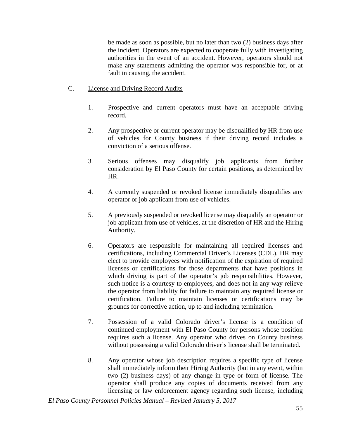be made as soon as possible, but no later than two (2) business days after the incident. Operators are expected to cooperate fully with investigating authorities in the event of an accident. However, operators should not make any statements admitting the operator was responsible for, or at fault in causing, the accident.

#### C. License and Driving Record Audits

- 1. Prospective and current operators must have an acceptable driving record.
- 2. Any prospective or current operator may be disqualified by HR from use of vehicles for County business if their driving record includes a conviction of a serious offense.
- 3. Serious offenses may disqualify job applicants from further consideration by El Paso County for certain positions, as determined by HR.
- 4. A currently suspended or revoked license immediately disqualifies any operator or job applicant from use of vehicles.
- 5. A previously suspended or revoked license may disqualify an operator or job applicant from use of vehicles, at the discretion of HR and the Hiring Authority.
- 6. Operators are responsible for maintaining all required licenses and certifications, including Commercial Driver's Licenses (CDL). HR may elect to provide employees with notification of the expiration of required licenses or certifications for those departments that have positions in which driving is part of the operator's job responsibilities. However, such notice is a courtesy to employees, and does not in any way relieve the operator from liability for failure to maintain any required license or certification. Failure to maintain licenses or certifications may be grounds for corrective action, up to and including termination.
- 7. Possession of a valid Colorado driver's license is a condition of continued employment with El Paso County for persons whose position requires such a license. Any operator who drives on County business without possessing a valid Colorado driver's license shall be terminated.
- 8. Any operator whose job description requires a specific type of license shall immediately inform their Hiring Authority (but in any event, within two (2) business days) of any change in type or form of license. The operator shall produce any copies of documents received from any licensing or law enforcement agency regarding such license, including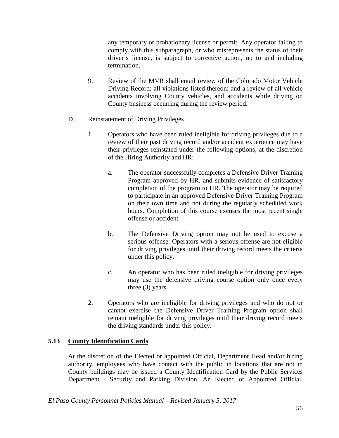any temporary or probationary license or permit. Any operator failing to comply with this subparagraph, or who misrepresents the status of their driver's license, is subject to corrective action, up to and including termination.

9. Review of the MVR shall entail review of the Colorado Motor Vehicle Driving Record; all violations listed thereon; and a review of all vehicle accidents involving County vehicles, and accidents while driving on County business occurring during the review period.

#### D. Reinstatement of Driving Privileges

- 1. Operators who have been ruled ineligible for driving privileges due to a review of their past driving record and/or accident experience may have their privileges reinstated under the following options, at the discretion of the Hiring Authority and HR:
	- a. The operator successfully completes a Defensive Driver Training Program approved by HR, and submits evidence of satisfactory completion of the program to HR. The operator may be required to participate in an approved Defensive Driver Training Program on their own time and not during the regularly scheduled work hours. Completion of this course excuses the most recent single offense or accident.
	- b. The Defensive Driving option may not be used to excuse a serious offense. Operators with a serious offense are not eligible for driving privileges until their driving record meets the criteria under this policy.
	- c. An operator who has been ruled ineligible for driving privileges may use the defensive driving course option only once every three (3) years.
- 2. Operators who are ineligible for driving privileges and who do not or cannot exercise the Defensive Driver Training Program option shall remain ineligible for driving privileges until their driving record meets the driving standards under this policy.

#### **5.13 County Identification Cards**

At the discretion of the Elected or appointed Official, Department Head and/or hiring authority, employees who have contact with the public in locations that are not in County buildings may be issued a County Identification Card by the Public Services Department - Security and Parking Division. An Elected or Appointed Official,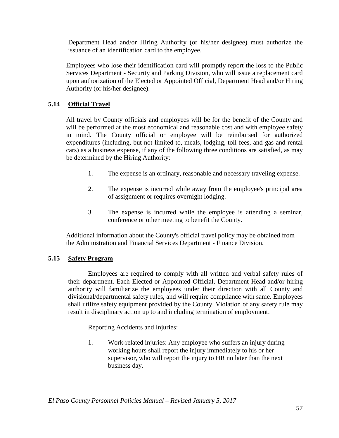Department Head and/or Hiring Authority (or his/her designee) must authorize the issuance of an identification card to the employee.

Employees who lose their identification card will promptly report the loss to the Public Services Department - Security and Parking Division, who will issue a replacement card upon authorization of the Elected or Appointed Official, Department Head and/or Hiring Authority (or his/her designee).

#### **5.14 Official Travel**

All travel by County officials and employees will be for the benefit of the County and will be performed at the most economical and reasonable cost and with employee safety in mind. The County official or employee will be reimbursed for authorized expenditures (including, but not limited to, meals, lodging, toll fees, and gas and rental cars) as a business expense, if any of the following three conditions are satisfied, as may be determined by the Hiring Authority:

- 1. The expense is an ordinary, reasonable and necessary traveling expense.
- 2. The expense is incurred while away from the employee's principal area of assignment or requires overnight lodging.
- 3. The expense is incurred while the employee is attending a seminar, conference or other meeting to benefit the County.

Additional information about the County's official travel policy may be obtained from the Administration and Financial Services Department - Finance Division.

#### **5.15 Safety Program**

Employees are required to comply with all written and verbal safety rules of their department. Each Elected or Appointed Official, Department Head and/or hiring authority will familiarize the employees under their direction with all County and divisional/departmental safety rules, and will require compliance with same. Employees shall utilize safety equipment provided by the County. Violation of any safety rule may result in disciplinary action up to and including termination of employment.

Reporting Accidents and Injuries:

1. Work-related injuries: Any employee who suffers an injury during working hours shall report the injury immediately to his or her supervisor, who will report the injury to HR no later than the next business day.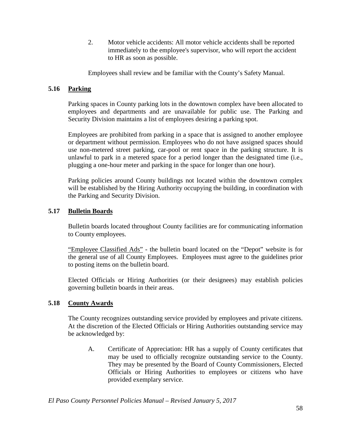2. Motor vehicle accidents: All motor vehicle accidents shall be reported immediately to the employee's supervisor, who will report the accident to HR as soon as possible.

Employees shall review and be familiar with the County's Safety Manual.

#### **5.16 Parking**

Parking spaces in County parking lots in the downtown complex have been allocated to employees and departments and are unavailable for public use. The Parking and Security Division maintains a list of employees desiring a parking spot.

Employees are prohibited from parking in a space that is assigned to another employee or department without permission. Employees who do not have assigned spaces should use non-metered street parking, car-pool or rent space in the parking structure. It is unlawful to park in a metered space for a period longer than the designated time (i.e., plugging a one-hour meter and parking in the space for longer than one hour).

Parking policies around County buildings not located within the downtown complex will be established by the Hiring Authority occupying the building, in coordination with the Parking and Security Division.

#### **5.17 Bulletin Boards**

Bulletin boards located throughout County facilities are for communicating information to County employees.

"Employee Classified Ads" - the bulletin board located on the "Depot" website is for the general use of all County Employees. Employees must agree to the guidelines prior to posting items on the bulletin board.

Elected Officials or Hiring Authorities (or their designees) may establish policies governing bulletin boards in their areas.

#### **5.18 County Awards**

The County recognizes outstanding service provided by employees and private citizens. At the discretion of the Elected Officials or Hiring Authorities outstanding service may be acknowledged by:

A. Certificate of Appreciation: HR has a supply of County certificates that may be used to officially recognize outstanding service to the County. They may be presented by the Board of County Commissioners, Elected Officials or Hiring Authorities to employees or citizens who have provided exemplary service.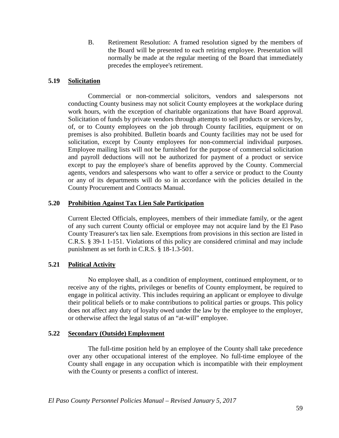B. Retirement Resolution: A framed resolution signed by the members of the Board will be presented to each retiring employee. Presentation will normally be made at the regular meeting of the Board that immediately precedes the employee's retirement.

#### **5.19 Solicitation**

Commercial or non-commercial solicitors, vendors and salespersons not conducting County business may not solicit County employees at the workplace during work hours, with the exception of charitable organizations that have Board approval. Solicitation of funds by private vendors through attempts to sell products or services by, of, or to County employees on the job through County facilities, equipment or on premises is also prohibited. Bulletin boards and County facilities may not be used for solicitation, except by County employees for non-commercial individual purposes. Employee mailing lists will not be furnished for the purpose of commercial solicitation and payroll deductions will not be authorized for payment of a product or service except to pay the employee's share of benefits approved by the County. Commercial agents, vendors and salespersons who want to offer a service or product to the County or any of its departments will do so in accordance with the policies detailed in the County Procurement and Contracts Manual.

#### **5.20 Prohibition Against Tax Lien Sale Participation**

Current Elected Officials, employees, members of their immediate family, or the agent of any such current County official or employee may not acquire land by the El Paso County Treasurer's tax lien sale. Exemptions from provisions in this section are listed in C.R.S. § 39-1 1-151. Violations of this policy are considered criminal and may include punishment as set forth in C.R.S. § 18-1.3-501.

#### **5.21 Political Activity**

No employee shall, as a condition of employment, continued employment, or to receive any of the rights, privileges or benefits of County employment, be required to engage in political activity. This includes requiring an applicant or employee to divulge their political beliefs or to make contributions to political parties or groups. This policy does not affect any duty of loyalty owed under the law by the employee to the employer, or otherwise affect the legal status of an "at-will" employee.

#### **5.22 Secondary (Outside) Employment**

The full-time position held by an employee of the County shall take precedence over any other occupational interest of the employee. No full-time employee of the County shall engage in any occupation which is incompatible with their employment with the County or presents a conflict of interest.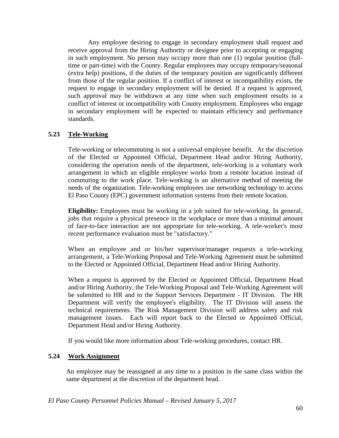Any employee desiring to engage in secondary employment shall request and receive approval from the Hiring Authority or designee prior to accepting or engaging in such employment. No person may occupy more than one (1) regular position (fulltime or part-time) with the County. Regular employees may occupy temporary/seasonal (extra help) positions, if the duties of the temporary position are significantly different from those of the regular position. If a conflict of interest or incompatibility exists, the request to engage in secondary employment will be denied. If a request is approved, such approval may be withdrawn at any time when such employment results in a conflict of interest or incompatibility with County employment. Employees who engage in secondary employment will be expected to maintain efficiency and performance standards.

#### **5.23 Tele-Working**

Tele-working or telecommuting is not a universal employee benefit. At the discretion of the Elected or Appointed Official, Department Head and/or Hiring Authority, considering the operation needs of the department, tele-working is a voluntary work arrangement in which an eligible employee works from a remote location instead of commuting to the work place. Tele-working is an alternative method of meeting the needs of the organization. Tele-working employees use networking technology to access El Paso County (EPC) government information systems from their remote location.

**Eligibility:** Employees must be working in a job suited for tele-working. In general, jobs that require a physical presence in the workplace or more than a minimal amount of face-to-face interaction are not appropriate for tele-working. A tele-worker's most recent performance evaluation must be "satisfactory."

When an employee and or his/her supervisor/manager requests a tele-working arrangement, a Tele-Working Proposal and Tele-Working Agreement must be submitted to the Elected or Appointed Official, Department Head and/or Hiring Authority.

When a request is approved by the Elected or Appointed Official, Department Head and/or Hiring Authority, the Tele-Working Proposal and Tele-Working Agreement will be submitted to HR and to the Support Services Department - IT Division. The HR Department will verify the employee's eligibility. The IT Division will assess the technical requirements. The Risk Management Division will address safety and risk management issues. Each will report back to the Elected or Appointed Official, Department Head and/or Hiring Authority.

If you would like more information about Tele-working procedures, contact HR.

#### **5.24 Work Assignment**

An employee may be reassigned at any time to a position in the same class within the same department at the discretion of the department head.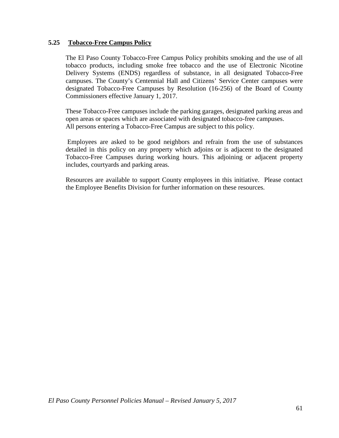#### **5.25 Tobacco-Free Campus Policy**

The El Paso County Tobacco-Free Campus Policy prohibits smoking and the use of all tobacco products, including smoke free tobacco and the use of Electronic Nicotine Delivery Systems (ENDS) regardless of substance, in all designated Tobacco-Free campuses. The County's Centennial Hall and Citizens' Service Center campuses were designated Tobacco-Free Campuses by Resolution (16-256) of the Board of County Commissioners effective January 1, 2017.

These Tobacco-Free campuses include the parking garages, designated parking areas and open areas or spaces which are associated with designated tobacco-free campuses. All persons entering a Tobacco-Free Campus are subject to this policy.

Employees are asked to be good neighbors and refrain from the use of substances detailed in this policy on any property which adjoins or is adjacent to the designated Tobacco-Free Campuses during working hours. This adjoining or adjacent property includes, courtyards and parking areas.

Resources are available to support County employees in this initiative. Please contact the Employee Benefits Division for further information on these resources.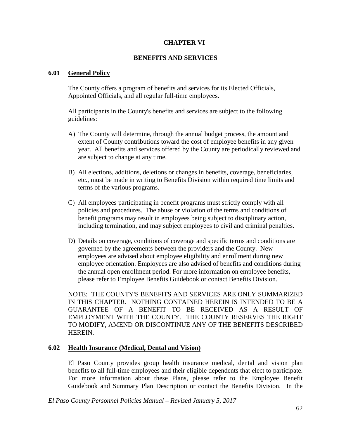## **CHAPTER VI**

## **BENEFITS AND SERVICES**

### **6.01 General Policy**

The County offers a program of benefits and services for its Elected Officials, Appointed Officials, and all regular full-time employees.

All participants in the County's benefits and services are subject to the following guidelines:

- A) The County will determine, through the annual budget process, the amount and extent of County contributions toward the cost of employee benefits in any given year. All benefits and services offered by the County are periodically reviewed and are subject to change at any time.
- B) All elections, additions, deletions or changes in benefits, coverage, beneficiaries, etc., must be made in writing to Benefits Division within required time limits and terms of the various programs.
- C) All employees participating in benefit programs must strictly comply with all policies and procedures. The abuse or violation of the terms and conditions of benefit programs may result in employees being subject to disciplinary action, including termination, and may subject employees to civil and criminal penalties.
- D) Details on coverage, conditions of coverage and specific terms and conditions are governed by the agreements between the providers and the County. New employees are advised about employee eligibility and enrollment during new employee orientation. Employees are also advised of benefits and conditions during the annual open enrollment period. For more information on employee benefits, please refer to Employee Benefits Guidebook or contact Benefits Division.

NOTE: THE COUNTY'S BENEFITS AND SERVICES ARE ONLY SUMMARIZED IN THIS CHAPTER. NOTHING CONTAINED HEREIN IS INTENDED TO BE A GUARANTEE OF A BENEFIT TO BE RECEIVED AS A RESULT OF EMPLOYMENT WITH THE COUNTY. THE COUNTY RESERVES THE RIGHT TO MODIFY, AMEND OR DISCONTINUE ANY OF THE BENEFITS DESCRIBED HEREIN.

### **6.02 Health Insurance (Medical, Dental and Vision)**

El Paso County provides group health insurance medical, dental and vision plan benefits to all full-time employees and their eligible dependents that elect to participate. For more information about these Plans, please refer to the Employee Benefit Guidebook and Summary Plan Description or contact the Benefits Division. In the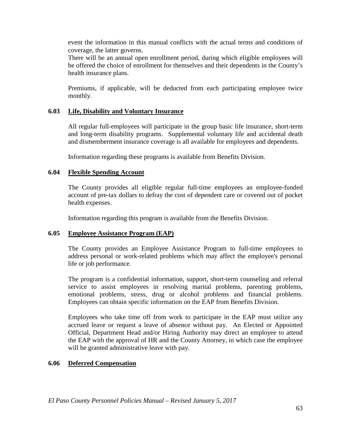event the information in this manual conflicts with the actual terms and conditions of coverage, the latter governs.

There will be an annual open enrollment period, during which eligible employees will be offered the choice of enrollment for themselves and their dependents in the County's health insurance plans.

Premiums, if applicable, will be deducted from each participating employee twice monthly.

### **6.03 Life, Disability and Voluntary Insurance**

All regular full-employees will participate in the group basic life insurance, short-term and long-term disability programs. Supplemental voluntary life and accidental death and dismemberment insurance coverage is all available for employees and dependents.

Information regarding these programs is available from Benefits Division.

## **6.04 Flexible Spending Account**

The County provides all eligible regular full-time employees an employee-funded account of pre-tax dollars to defray the cost of dependent care or covered out of pocket health expenses.

Information regarding this program is available from the Benefits Division.

## **6.05 Employee Assistance Program (EAP)**

The County provides an Employee Assistance Program to full-time employees to address personal or work-related problems which may affect the employee's personal life or job performance.

The program is a confidential information, support, short-term counseling and referral service to assist employees in resolving marital problems, parenting problems, emotional problems, stress, drug or alcohol problems and financial problems. Employees can obtain specific information on the EAP from Benefits Division.

Employees who take time off from work to participate in the EAP must utilize any accrued leave or request a leave of absence without pay. An Elected or Appointed Official, Department Head and/or Hiring Authority may direct an employee to attend the EAP with the approval of HR and the County Attorney, in which case the employee will be granted administrative leave with pay.

## **6.06 Deferred Compensation**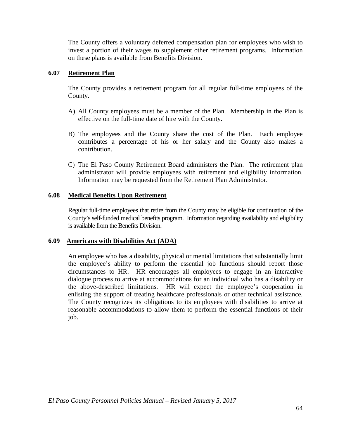The County offers a voluntary deferred compensation plan for employees who wish to invest a portion of their wages to supplement other retirement programs. Information on these plans is available from Benefits Division.

## **6.07 Retirement Plan**

The County provides a retirement program for all regular full-time employees of the County.

- A) All County employees must be a member of the Plan. Membership in the Plan is effective on the full-time date of hire with the County.
- B) The employees and the County share the cost of the Plan. Each employee contributes a percentage of his or her salary and the County also makes a contribution.
- C) The El Paso County Retirement Board administers the Plan. The retirement plan administrator will provide employees with retirement and eligibility information. Information may be requested from the Retirement Plan Administrator.

## **6.08 Medical Benefits Upon Retirement**

Regular full-time employees that retire from the County may be eligible for continuation of the County's self-funded medical benefits program. Information regarding availability and eligibility is available from the Benefits Division.

### **6.09 Americans with Disabilities Act (ADA)**

An employee who has a disability, physical or mental limitations that substantially limit the employee's ability to perform the essential job functions should report those circumstances to HR. HR encourages all employees to engage in an interactive dialogue process to arrive at accommodations for an individual who has a disability or the above-described limitations. HR will expect the employee's cooperation in enlisting the support of treating healthcare professionals or other technical assistance. The County recognizes its obligations to its employees with disabilities to arrive at reasonable accommodations to allow them to perform the essential functions of their job.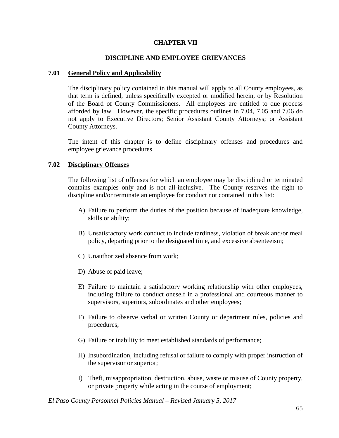## **CHAPTER VII**

### **DISCIPLINE AND EMPLOYEE GRIEVANCES**

### **7.01 General Policy and Applicability**

The disciplinary policy contained in this manual will apply to all County employees, as that term is defined, unless specifically excepted or modified herein, or by Resolution of the Board of County Commissioners. All employees are entitled to due process afforded by law. However, the specific procedures outlines in 7.04, 7.05 and 7.06 do not apply to Executive Directors; Senior Assistant County Attorneys; or Assistant County Attorneys.

The intent of this chapter is to define disciplinary offenses and procedures and employee grievance procedures.

### **7.02 Disciplinary Offenses**

The following list of offenses for which an employee may be disciplined or terminated contains examples only and is not all-inclusive. The County reserves the right to discipline and/or terminate an employee for conduct not contained in this list:

- A) Failure to perform the duties of the position because of inadequate knowledge, skills or ability;
- B) Unsatisfactory work conduct to include tardiness, violation of break and/or meal policy, departing prior to the designated time, and excessive absenteeism;
- C) Unauthorized absence from work;
- D) Abuse of paid leave;
- E) Failure to maintain a satisfactory working relationship with other employees, including failure to conduct oneself in a professional and courteous manner to supervisors, superiors, subordinates and other employees;
- F) Failure to observe verbal or written County or department rules, policies and procedures;
- G) Failure or inability to meet established standards of performance;
- H) Insubordination, including refusal or failure to comply with proper instruction of the supervisor or superior;
- I) Theft, misappropriation, destruction, abuse, waste or misuse of County property, or private property while acting in the course of employment;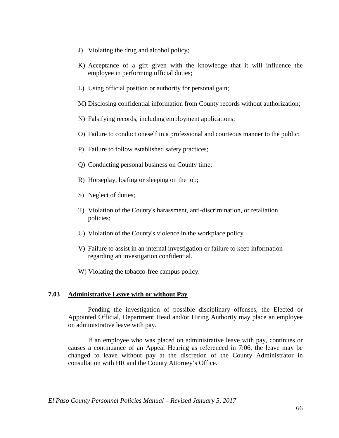- J) Violating the drug and alcohol policy;
- K) Acceptance of a gift given with the knowledge that it will influence the employee in performing official duties;
- L) Using official position or authority for personal gain;
- M) Disclosing confidential information from County records without authorization;
- N) Falsifying records, including employment applications;
- O) Failure to conduct oneself in a professional and courteous manner to the public;
- P) Failure to follow established safety practices;
- Q) Conducting personal business on County time;
- R) Horseplay, loafing or sleeping on the job;
- S) Neglect of duties;
- T) Violation of the County's harassment, anti-discrimination, or retaliation policies;
- U) Violation of the County's violence in the workplace policy.
- V) Failure to assist in an internal investigation or failure to keep information regarding an investigation confidential.
- W) Violating the tobacco-free campus policy.

### **7.03 Administrative Leave with or without Pay**

Pending the investigation of possible disciplinary offenses, the Elected or Appointed Official, Department Head and/or Hiring Authority may place an employee on administrative leave with pay.

If an employee who was placed on administrative leave with pay, continues or causes a continuance of an Appeal Hearing as referenced in 7:06, the leave may be changed to leave without pay at the discretion of the County Administrator in consultation with HR and the County Attorney's Office.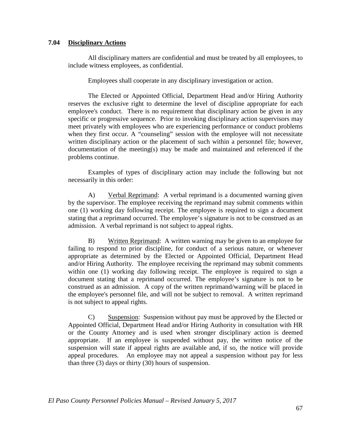### **7.04 Disciplinary Actions**

All disciplinary matters are confidential and must be treated by all employees, to include witness employees, as confidential.

Employees shall cooperate in any disciplinary investigation or action.

The Elected or Appointed Official, Department Head and/or Hiring Authority reserves the exclusive right to determine the level of discipline appropriate for each employee's conduct. There is no requirement that disciplinary action be given in any specific or progressive sequence. Prior to invoking disciplinary action supervisors may meet privately with employees who are experiencing performance or conduct problems when they first occur. A "counseling" session with the employee will not necessitate written disciplinary action or the placement of such within a personnel file; however, documentation of the meeting(s) may be made and maintained and referenced if the problems continue.

Examples of types of disciplinary action may include the following but not necessarily in this order:

A) Verbal Reprimand: A verbal reprimand is a documented warning given by the supervisor. The employee receiving the reprimand may submit comments within one (1) working day following receipt. The employee is required to sign a document stating that a reprimand occurred. The employee's signature is not to be construed as an admission. A verbal reprimand is not subject to appeal rights.

B) Written Reprimand: A written warning may be given to an employee for failing to respond to prior discipline, for conduct of a serious nature, or whenever appropriate as determined by the Elected or Appointed Official, Department Head and/or Hiring Authority. The employee receiving the reprimand may submit comments within one (1) working day following receipt. The employee is required to sign a document stating that a reprimand occurred. The employee's signature is not to be construed as an admission. A copy of the written reprimand/warning will be placed in the employee's personnel file, and will not be subject to removal. A written reprimand is not subject to appeal rights.

C) Suspension: Suspension without pay must be approved by the Elected or Appointed Official, Department Head and/or Hiring Authority in consultation with HR or the County Attorney and is used when stronger disciplinary action is deemed appropriate. If an employee is suspended without pay, the written notice of the suspension will state if appeal rights are available and, if so, the notice will provide appeal procedures. An employee may not appeal a suspension without pay for less than three (3) days or thirty (30) hours of suspension.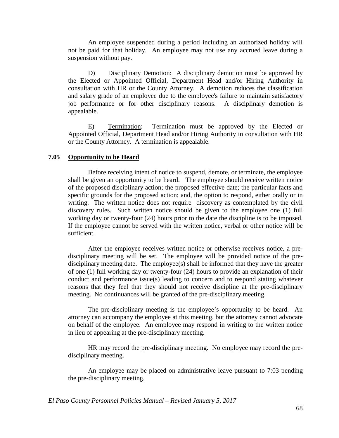An employee suspended during a period including an authorized holiday will not be paid for that holiday. An employee may not use any accrued leave during a suspension without pay.

D) Disciplinary Demotion: A disciplinary demotion must be approved by the Elected or Appointed Official, Department Head and/or Hiring Authority in consultation with HR or the County Attorney. A demotion reduces the classification and salary grade of an employee due to the employee's failure to maintain satisfactory job performance or for other disciplinary reasons. A disciplinary demotion is appealable.

E) Termination: Termination must be approved by the Elected or Appointed Official, Department Head and/or Hiring Authority in consultation with HR or the County Attorney. A termination is appealable.

## **7.05 Opportunity to be Heard**

Before receiving intent of notice to suspend, demote, or terminate, the employee shall be given an opportunity to be heard. The employee should receive written notice of the proposed disciplinary action; the proposed effective date; the particular facts and specific grounds for the proposed action; and, the option to respond, either orally or in writing. The written notice does not require discovery as contemplated by the civil discovery rules. Such written notice should be given to the employee one (1) full working day or twenty-four (24) hours prior to the date the discipline is to be imposed. If the employee cannot be served with the written notice, verbal or other notice will be sufficient.

After the employee receives written notice or otherwise receives notice, a predisciplinary meeting will be set. The employee will be provided notice of the predisciplinary meeting date. The employee(s) shall be informed that they have the greater of one (1) full working day or twenty-four (24) hours to provide an explanation of their conduct and performance issue(s) leading to concern and to respond stating whatever reasons that they feel that they should not receive discipline at the pre-disciplinary meeting. No continuances will be granted of the pre-disciplinary meeting.

The pre-disciplinary meeting is the employee's opportunity to be heard. An attorney can accompany the employee at this meeting, but the attorney cannot advocate on behalf of the employee. An employee may respond in writing to the written notice in lieu of appearing at the pre-disciplinary meeting.

HR may record the pre-disciplinary meeting. No employee may record the predisciplinary meeting.

An employee may be placed on administrative leave pursuant to 7:03 pending the pre-disciplinary meeting.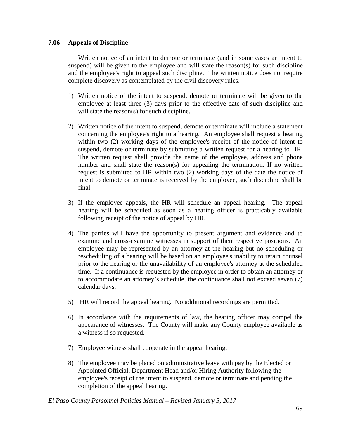## **7.06 Appeals of Discipline**

Written notice of an intent to demote or terminate (and in some cases an intent to suspend) will be given to the employee and will state the reason(s) for such discipline and the employee's right to appeal such discipline. The written notice does not require complete discovery as contemplated by the civil discovery rules.

- 1) Written notice of the intent to suspend, demote or terminate will be given to the employee at least three (3) days prior to the effective date of such discipline and will state the reason(s) for such discipline.
- 2) Written notice of the intent to suspend, demote or terminate will include a statement concerning the employee's right to a hearing. An employee shall request a hearing within two (2) working days of the employee's receipt of the notice of intent to suspend, demote or terminate by submitting a written request for a hearing to HR. The written request shall provide the name of the employee, address and phone number and shall state the reason(s) for appealing the termination. If no written request is submitted to HR within two (2) working days of the date the notice of intent to demote or terminate is received by the employee, such discipline shall be final.
- 3) If the employee appeals, the HR will schedule an appeal hearing. The appeal hearing will be scheduled as soon as a hearing officer is practicably available following receipt of the notice of appeal by HR.
- 4) The parties will have the opportunity to present argument and evidence and to examine and cross-examine witnesses in support of their respective positions. An employee may be represented by an attorney at the hearing but no scheduling or rescheduling of a hearing will be based on an employee's inability to retain counsel prior to the hearing or the unavailability of an employee's attorney at the scheduled time. If a continuance is requested by the employee in order to obtain an attorney or to accommodate an attorney's schedule, the continuance shall not exceed seven (7) calendar days.
- 5) HR will record the appeal hearing. No additional recordings are permitted.
- 6) In accordance with the requirements of law, the hearing officer may compel the appearance of witnesses. The County will make any County employee available as a witness if so requested.
- 7) Employee witness shall cooperate in the appeal hearing.
- 8) The employee may be placed on administrative leave with pay by the Elected or Appointed Official, Department Head and/or Hiring Authority following the employee's receipt of the intent to suspend, demote or terminate and pending the completion of the appeal hearing.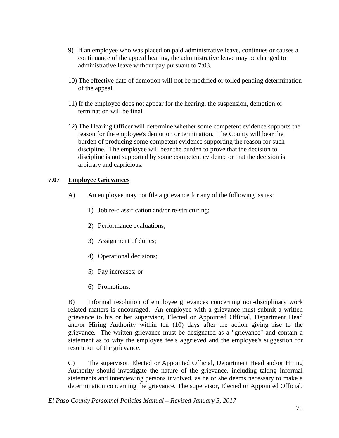- 9) If an employee who was placed on paid administrative leave, continues or causes a continuance of the appeal hearing, the administrative leave may be changed to administrative leave without pay pursuant to 7:03.
- 10) The effective date of demotion will not be modified or tolled pending determination of the appeal.
- 11) If the employee does not appear for the hearing, the suspension, demotion or termination will be final.
- 12) The Hearing Officer will determine whether some competent evidence supports the reason for the employee's demotion or termination. The County will bear the burden of producing some competent evidence supporting the reason for such discipline. The employee will bear the burden to prove that the decision to discipline is not supported by some competent evidence or that the decision is arbitrary and capricious.

## **7.07 Employee Grievances**

- A) An employee may not file a grievance for any of the following issues:
	- 1) Job re-classification and/or re-structuring;
	- 2) Performance evaluations;
	- 3) Assignment of duties;
	- 4) Operational decisions;
	- 5) Pay increases; or
	- 6) Promotions.

B) Informal resolution of employee grievances concerning non-disciplinary work related matters is encouraged. An employee with a grievance must submit a written grievance to his or her supervisor, Elected or Appointed Official, Department Head and/or Hiring Authority within ten (10) days after the action giving rise to the grievance. The written grievance must be designated as a "grievance" and contain a statement as to why the employee feels aggrieved and the employee's suggestion for resolution of the grievance.

C) The supervisor, Elected or Appointed Official, Department Head and/or Hiring Authority should investigate the nature of the grievance, including taking informal statements and interviewing persons involved, as he or she deems necessary to make a determination concerning the grievance. The supervisor, Elected or Appointed Official,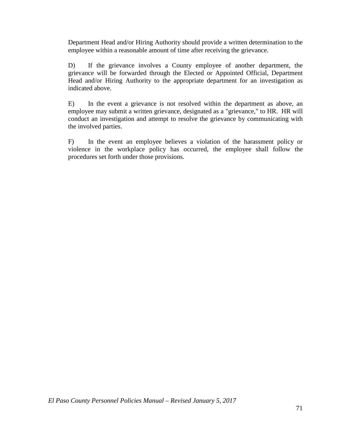Department Head and/or Hiring Authority should provide a written determination to the employee within a reasonable amount of time after receiving the grievance.

D) If the grievance involves a County employee of another department, the grievance will be forwarded through the Elected or Appointed Official, Department Head and/or Hiring Authority to the appropriate department for an investigation as indicated above.

E) In the event a grievance is not resolved within the department as above, an employee may submit a written grievance, designated as a "grievance," to HR. HR will conduct an investigation and attempt to resolve the grievance by communicating with the involved parties.

F) In the event an employee believes a violation of the harassment policy or violence in the workplace policy has occurred, the employee shall follow the procedures set forth under those provisions.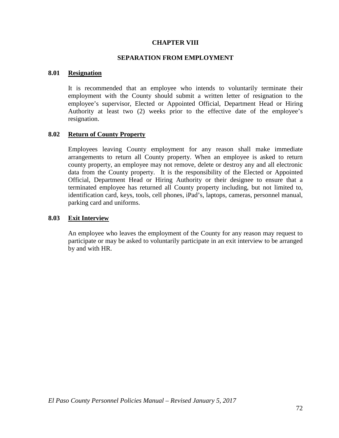### **CHAPTER VIII**

### **SEPARATION FROM EMPLOYMENT**

### **8.01 Resignation**

It is recommended that an employee who intends to voluntarily terminate their employment with the County should submit a written letter of resignation to the employee's supervisor, Elected or Appointed Official, Department Head or Hiring Authority at least two (2) weeks prior to the effective date of the employee's resignation.

### **8.02 Return of County Property**

Employees leaving County employment for any reason shall make immediate arrangements to return all County property. When an employee is asked to return county property, an employee may not remove, delete or destroy any and all electronic data from the County property. It is the responsibility of the Elected or Appointed Official, Department Head or Hiring Authority or their designee to ensure that a terminated employee has returned all County property including, but not limited to, identification card, keys, tools, cell phones, iPad's, laptops, cameras, personnel manual, parking card and uniforms.

### **8.03 Exit Interview**

An employee who leaves the employment of the County for any reason may request to participate or may be asked to voluntarily participate in an exit interview to be arranged by and with HR.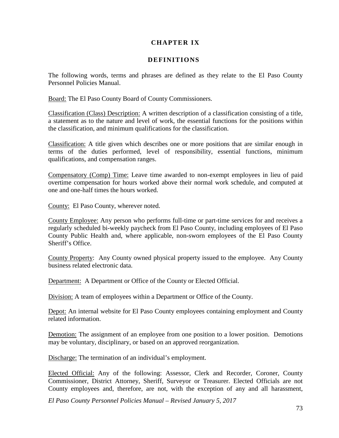## **CHAPTER IX**

## **DEFINITIONS**

The following words, terms and phrases are defined as they relate to the El Paso County Personnel Policies Manual.

Board: The El Paso County Board of County Commissioners.

Classification (Class) Description: A written description of a classification consisting of a title, a statement as to the nature and level of work, the essential functions for the positions within the classification, and minimum qualifications for the classification.

Classification: A title given which describes one or more positions that are similar enough in terms of the duties performed, level of responsibility, essential functions, minimum qualifications, and compensation ranges.

Compensatory (Comp) Time: Leave time awarded to non-exempt employees in lieu of paid overtime compensation for hours worked above their normal work schedule, and computed at one and one-half times the hours worked.

County: El Paso County, wherever noted.

County Employee: Any person who performs full-time or part-time services for and receives a regularly scheduled bi-weekly paycheck from El Paso County, including employees of El Paso County Public Health and, where applicable, non-sworn employees of the El Paso County Sheriff's Office.

County Property: Any County owned physical property issued to the employee. Any County business related electronic data.

Department: A Department or Office of the County or Elected Official.

Division: A team of employees within a Department or Office of the County.

Depot: An internal website for El Paso County employees containing employment and County related information.

Demotion: The assignment of an employee from one position to a lower position. Demotions may be voluntary, disciplinary, or based on an approved reorganization.

Discharge: The termination of an individual's employment.

Elected Official: Any of the following: Assessor, Clerk and Recorder, Coroner, County Commissioner, District Attorney, Sheriff, Surveyor or Treasurer. Elected Officials are not County employees and, therefore, are not, with the exception of any and all harassment,

*El Paso County Personnel Policies Manual – Revised January 5, 2017*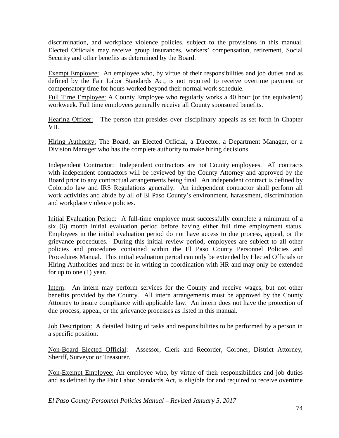discrimination, and workplace violence policies, subject to the provisions in this manual. Elected Officials may receive group insurances, workers' compensation, retirement, Social Security and other benefits as determined by the Board.

Exempt Employee: An employee who, by virtue of their responsibilities and job duties and as defined by the Fair Labor Standards Act, is not required to receive overtime payment or compensatory time for hours worked beyond their normal work schedule.

Full Time Employee: A County Employee who regularly works a 40 hour (or the equivalent) workweek. Full time employees generally receive all County sponsored benefits.

Hearing Officer: The person that presides over disciplinary appeals as set forth in Chapter VII.

Hiring Authority: The Board, an Elected Official, a Director, a Department Manager, or a Division Manager who has the complete authority to make hiring decisions.

Independent Contractor: Independent contractors are not County employees. All contracts with independent contractors will be reviewed by the County Attorney and approved by the Board prior to any contractual arrangements being final. An independent contract is defined by Colorado law and IRS Regulations generally. An independent contractor shall perform all work activities and abide by all of El Paso County's environment, harassment, discrimination and workplace violence policies.

Initial Evaluation Period: A full-time employee must successfully complete a minimum of a six (6) month initial evaluation period before having either full time employment status. Employees in the initial evaluation period do not have access to due process, appeal, or the grievance procedures. During this initial review period, employees are subject to all other policies and procedures contained within the El Paso County Personnel Policies and Procedures Manual. This initial evaluation period can only be extended by Elected Officials or Hiring Authorities and must be in writing in coordination with HR and may only be extended for up to one (1) year.

Intern: An intern may perform services for the County and receive wages, but not other benefits provided by the County. All intern arrangements must be approved by the County Attorney to insure compliance with applicable law. An intern does not have the protection of due process, appeal, or the grievance processes as listed in this manual.

Job Description: A detailed listing of tasks and responsibilities to be performed by a person in a specific position.

Non-Board Elected Official: Assessor, Clerk and Recorder, Coroner, District Attorney, Sheriff, Surveyor or Treasurer.

Non-Exempt Employee: An employee who, by virtue of their responsibilities and job duties and as defined by the Fair Labor Standards Act, is eligible for and required to receive overtime

*El Paso County Personnel Policies Manual – Revised January 5, 2017*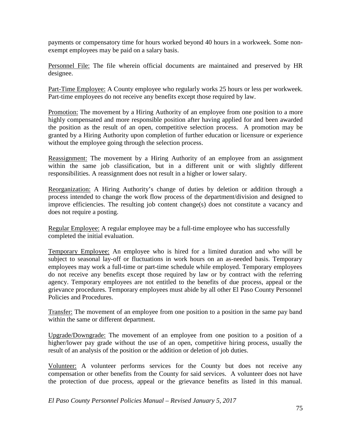payments or compensatory time for hours worked beyond 40 hours in a workweek. Some nonexempt employees may be paid on a salary basis.

Personnel File: The file wherein official documents are maintained and preserved by HR designee.

Part-Time Employee: A County employee who regularly works 25 hours or less per workweek. Part-time employees do not receive any benefits except those required by law.

Promotion: The movement by a Hiring Authority of an employee from one position to a more highly compensated and more responsible position after having applied for and been awarded the position as the result of an open, competitive selection process. A promotion may be granted by a Hiring Authority upon completion of further education or licensure or experience without the employee going through the selection process.

Reassignment: The movement by a Hiring Authority of an employee from an assignment within the same job classification, but in a different unit or with slightly different responsibilities. A reassignment does not result in a higher or lower salary.

Reorganization: A Hiring Authority's change of duties by deletion or addition through a process intended to change the work flow process of the department/division and designed to improve efficiencies. The resulting job content change(s) does not constitute a vacancy and does not require a posting.

Regular Employee: A regular employee may be a full-time employee who has successfully completed the initial evaluation.

Temporary Employee: An employee who is hired for a limited duration and who will be subject to seasonal lay-off or fluctuations in work hours on an as-needed basis. Temporary employees may work a full-time or part-time schedule while employed. Temporary employees do not receive any benefits except those required by law or by contract with the referring agency. Temporary employees are not entitled to the benefits of due process, appeal or the grievance procedures. Temporary employees must abide by all other El Paso County Personnel Policies and Procedures.

Transfer: The movement of an employee from one position to a position in the same pay band within the same or different department.

Upgrade/Downgrade: The movement of an employee from one position to a position of a higher/lower pay grade without the use of an open, competitive hiring process, usually the result of an analysis of the position or the addition or deletion of job duties.

Volunteer: A volunteer performs services for the County but does not receive any compensation or other benefits from the County for said services. A volunteer does not have the protection of due process, appeal or the grievance benefits as listed in this manual.

*El Paso County Personnel Policies Manual – Revised January 5, 2017*